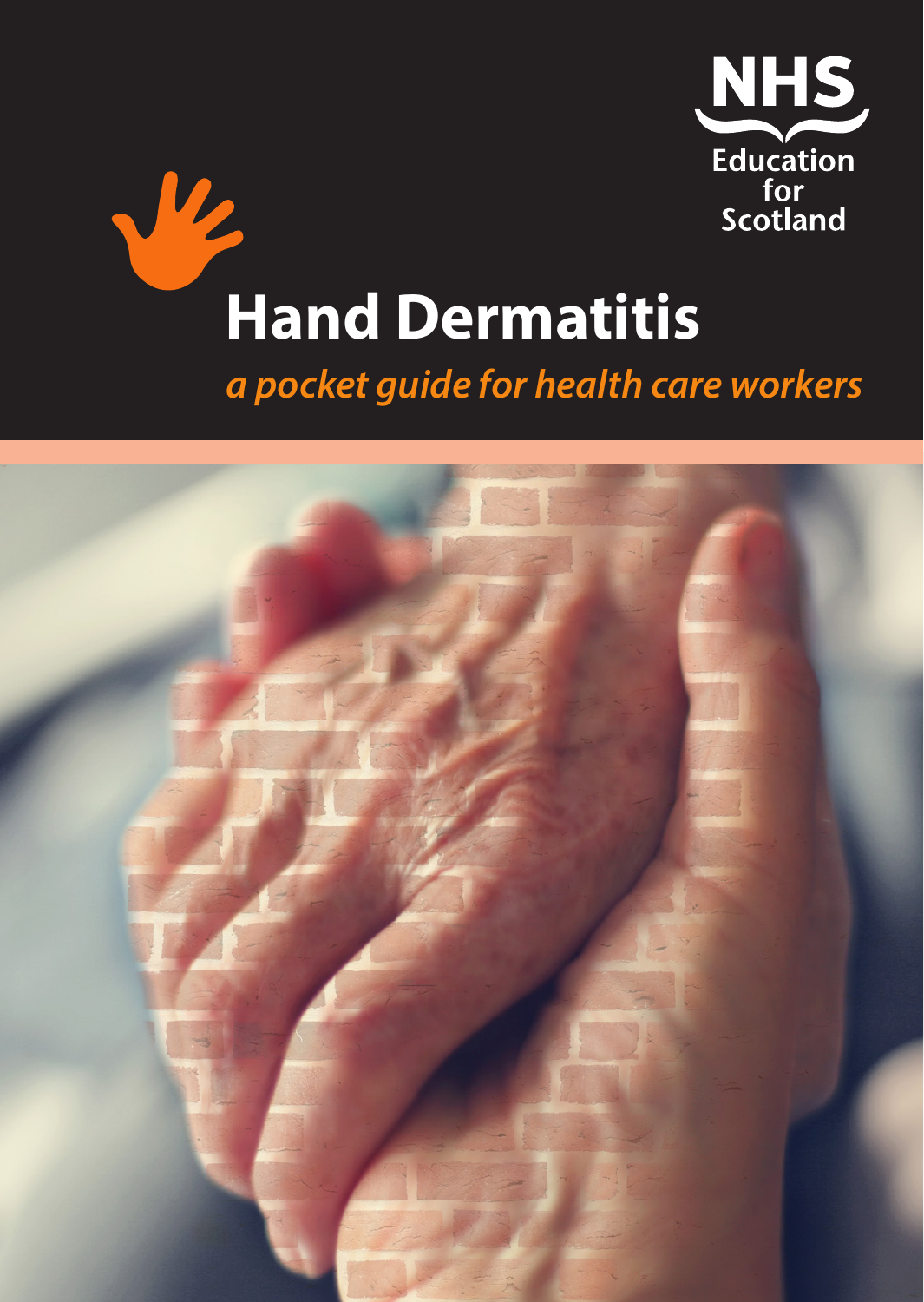

# **Hand Dermatitis**

Vz

 *a pocket guide for health care workers*

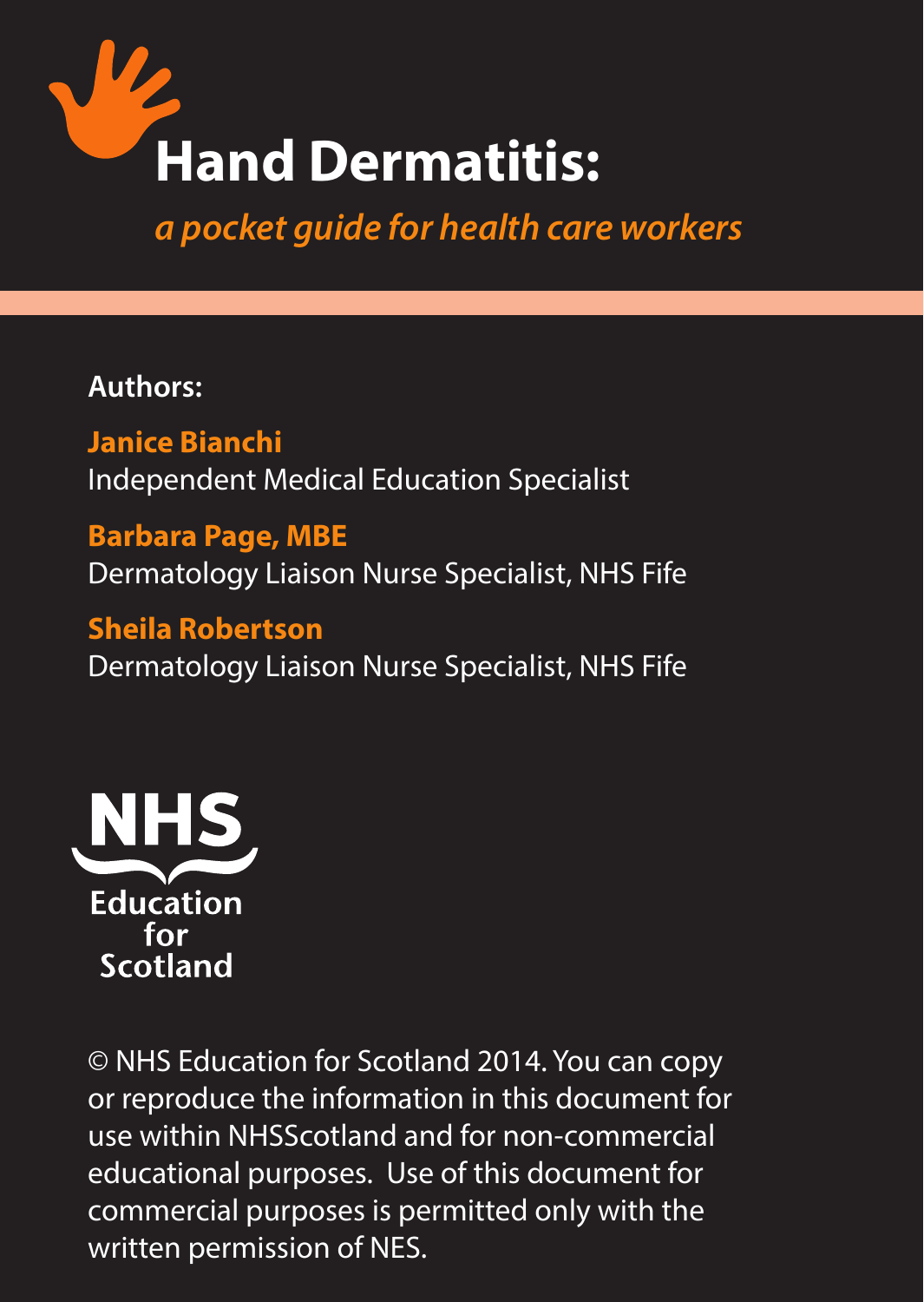

*a pocket guide for health care workers*

#### **Authors:**

**Janice Bianchi** Independent Medical Education Specialist

**Barbara Page, MBE** Dermatology Liaison Nurse Specialist, NHS Fife

**Sheila Robertson** Dermatology Liaison Nurse Specialist, NHS Fife



© NHS Education for Scotland 2014. You can copy or reproduce the information in this document for use within NHSScotland and for non-commercial educational purposes. Use of this document for commercial purposes is permitted only with the written permission of NES.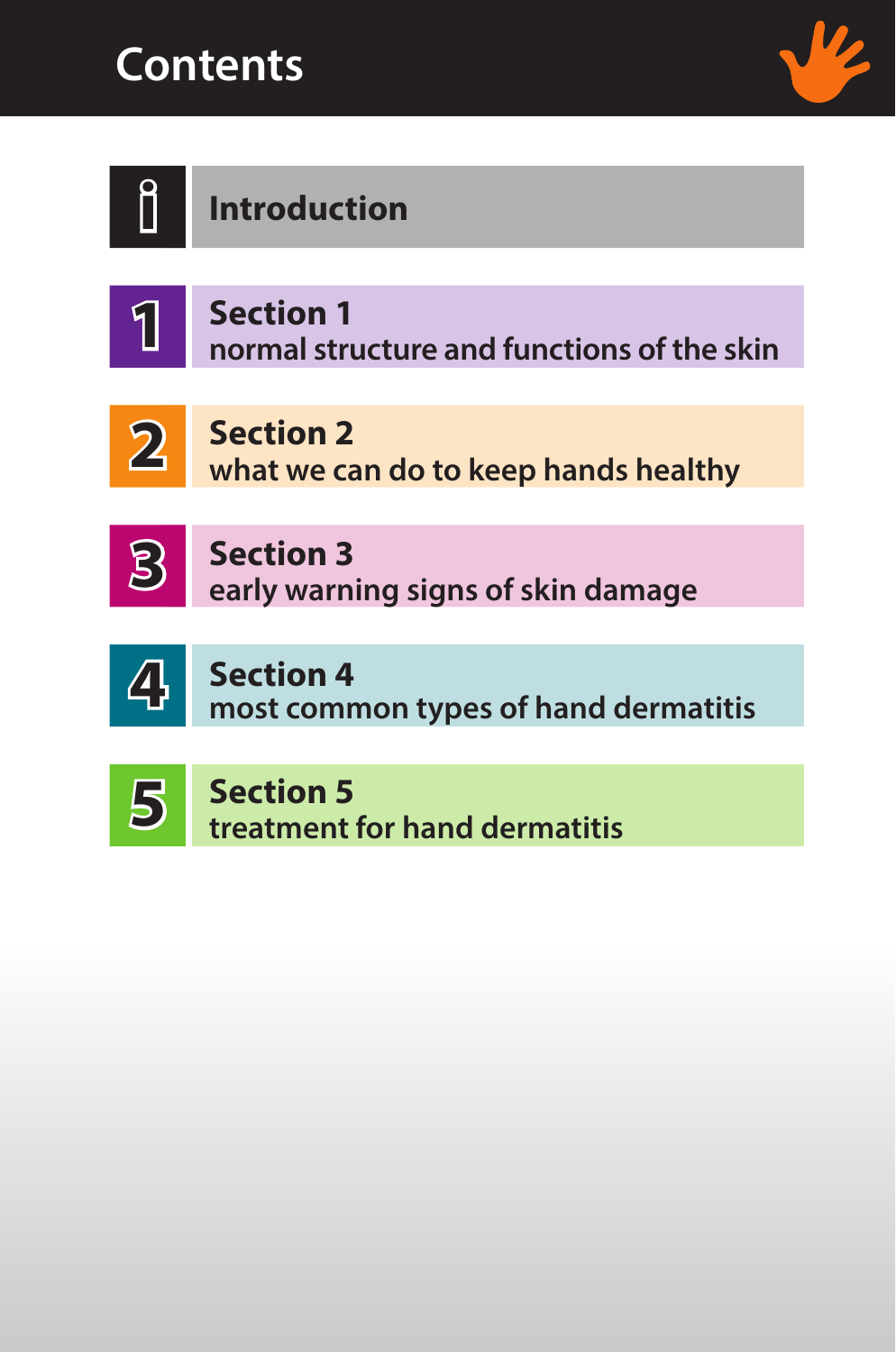# **Contents**







**Section 1 normal structure and functions of the skin**



**Section 2 what we can do to keep hands healthy**



**Section 3 early warning signs of skin damage**



**Section 4 most common types of hand dermatitis**



**Section 5 treatment for hand dermatitis**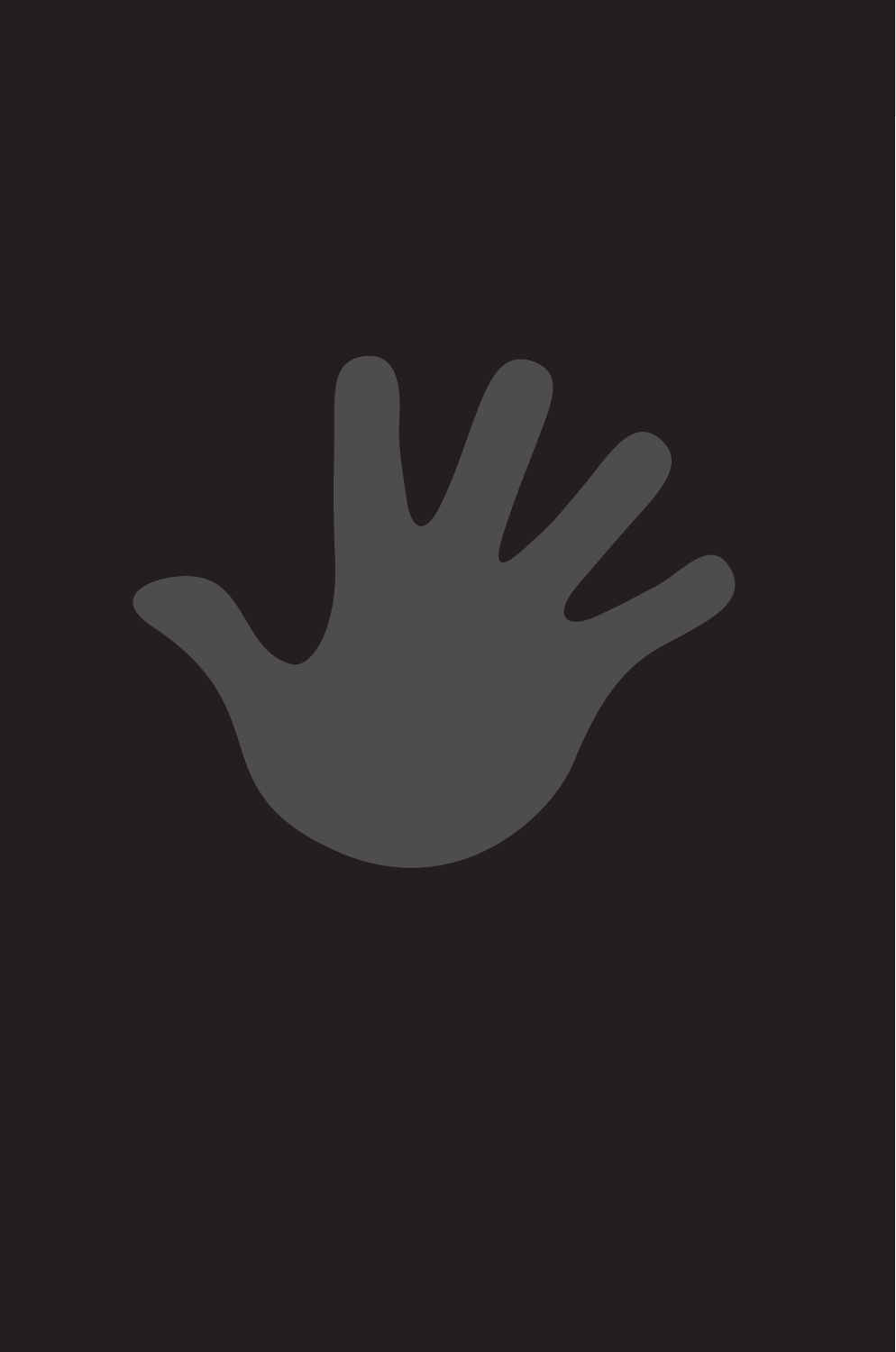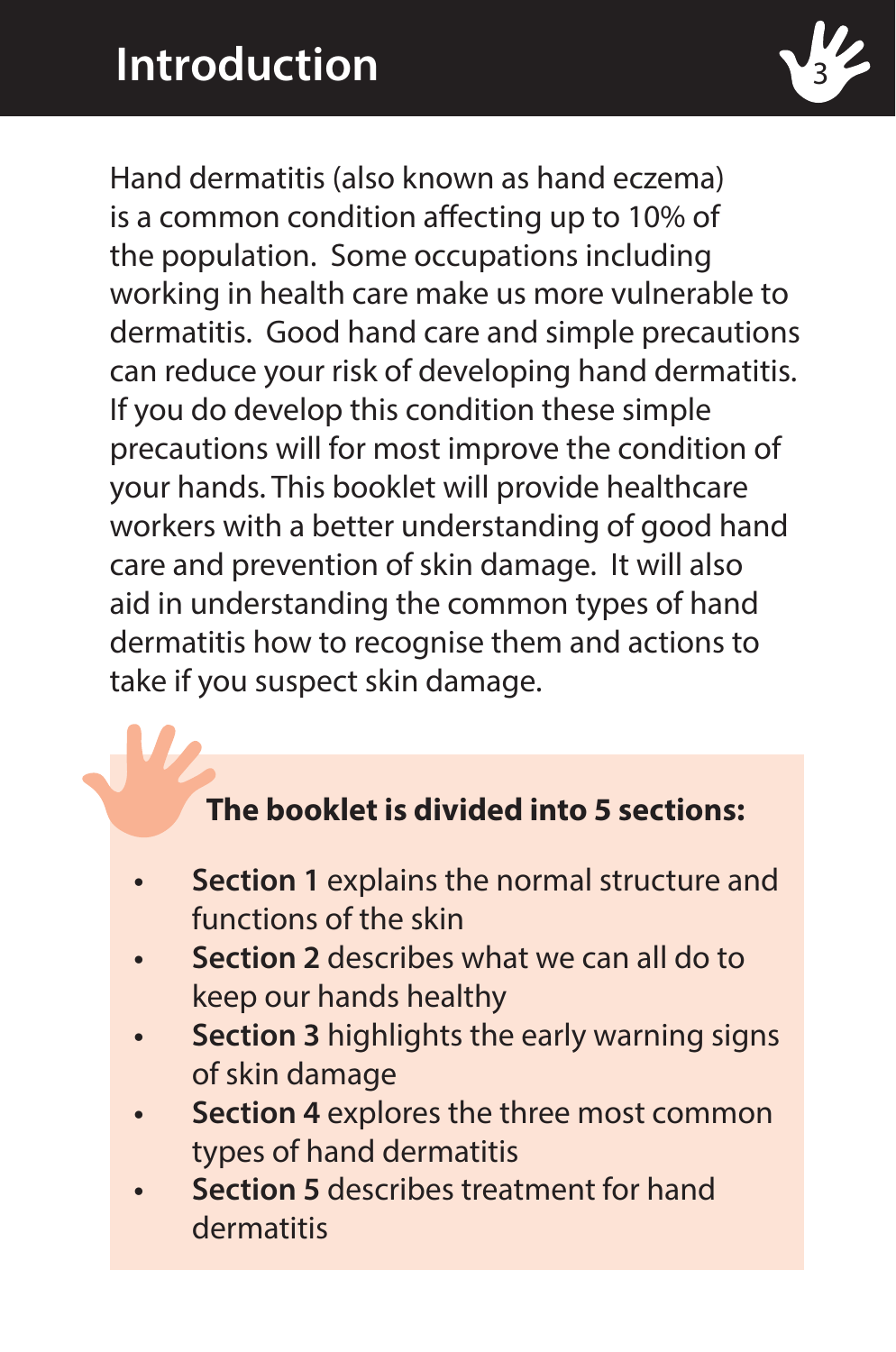

Hand dermatitis (also known as hand eczema) is a common condition affecting up to 10% of the population. Some occupations including working in health care make us more vulnerable to dermatitis. Good hand care and simple precautions can reduce your risk of developing hand dermatitis. If you do develop this condition these simple precautions will for most improve the condition of your hands. This booklet will provide healthcare workers with a better understanding of good hand care and prevention of skin damage. It will also aid in understanding the common types of hand dermatitis how to recognise them and actions to take if you suspect skin damage.

#### **The booklet is divided into 5 sections:**

- **• Section 1** explains the normal structure and functions of the skin
- **• Section 2** describes what we can all do to keep our hands healthy
- **• Section 3** highlights the early warning signs of skin damage
- **• Section 4** explores the three most common types of hand dermatitis
- **• Section 5** describes treatment for hand dermatitis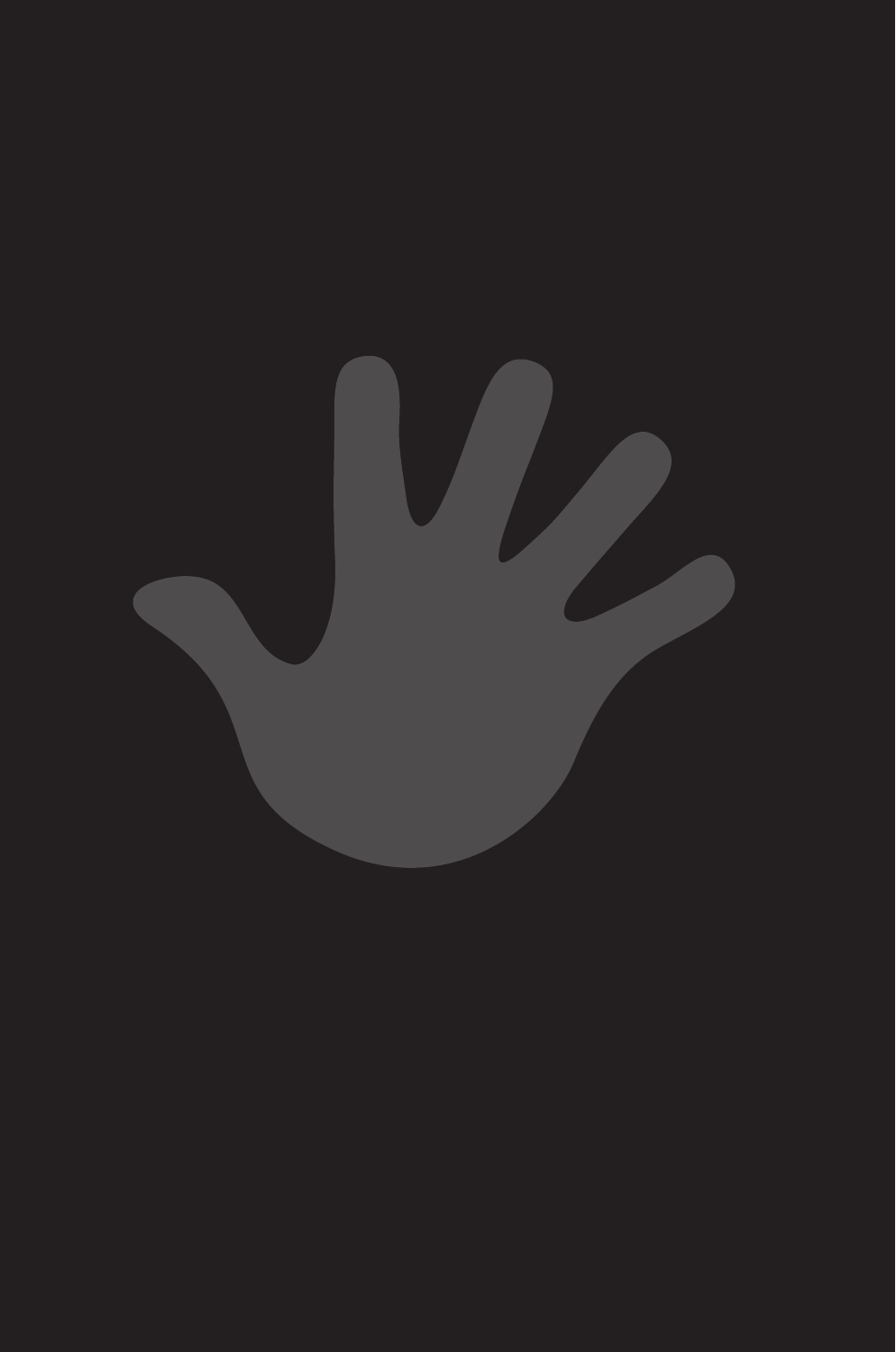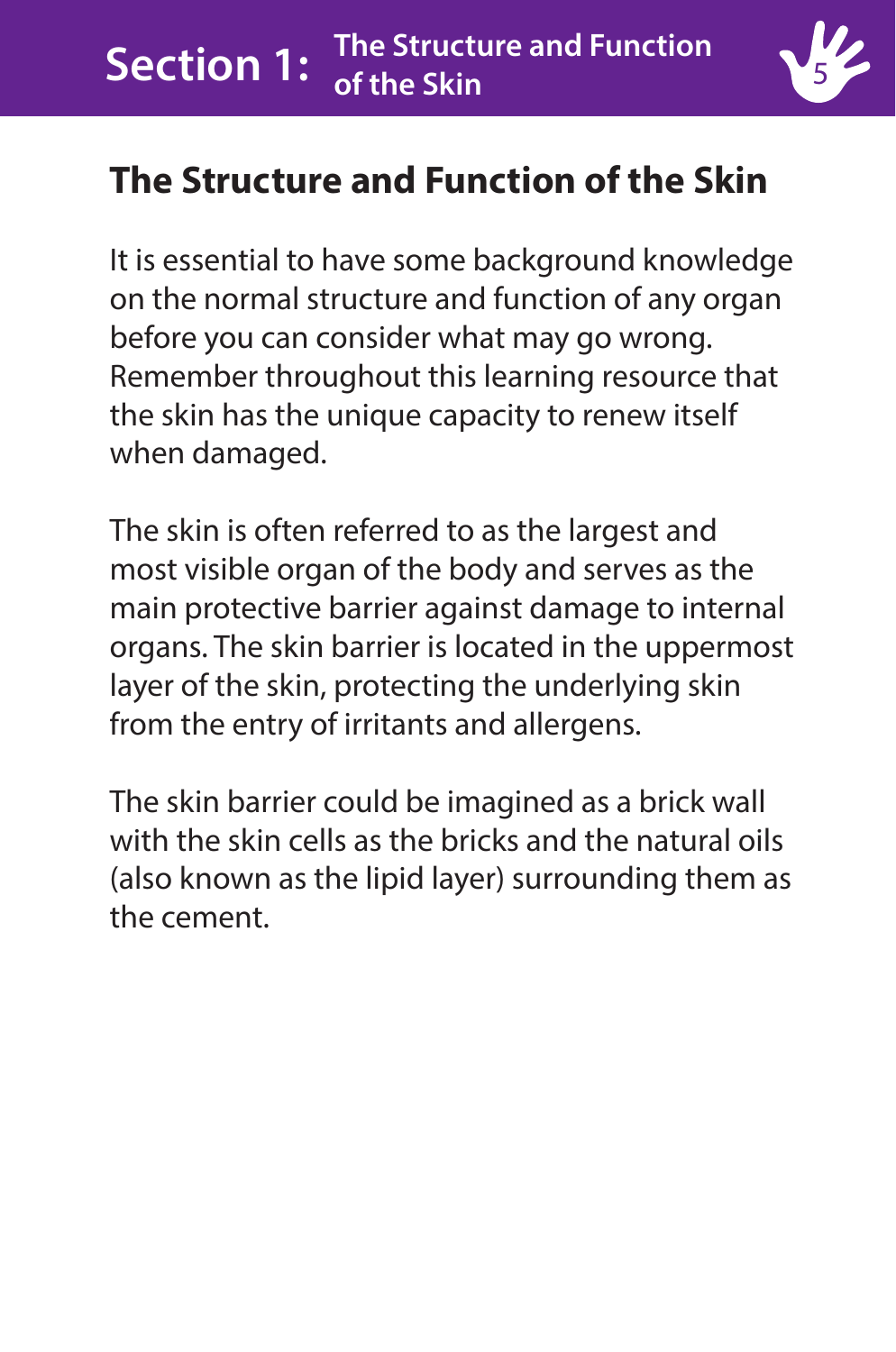

# **The Structure and Function of the Skin**

It is essential to have some background knowledge on the normal structure and function of any organ before you can consider what may go wrong. Remember throughout this learning resource that the skin has the unique capacity to renew itself when damaged.

The skin is often referred to as the largest and most visible organ of the body and serves as the main protective barrier against damage to internal organs. The skin barrier is located in the uppermost layer of the skin, protecting the underlying skin from the entry of irritants and allergens.

The skin barrier could be imagined as a brick wall with the skin cells as the bricks and the natural oils (also known as the lipid layer) surrounding them as the cement.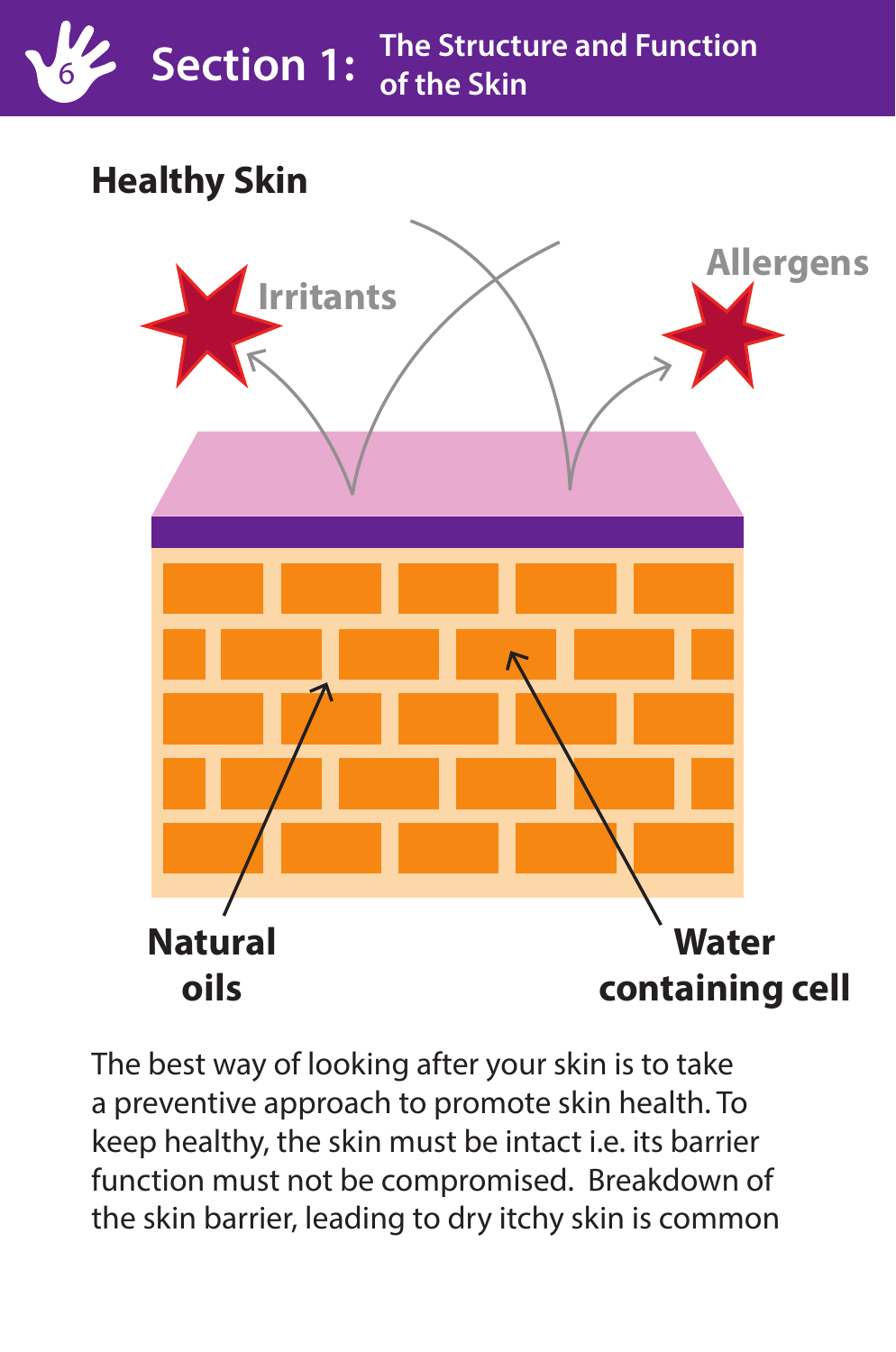

# **Healthy Skin**



The best way of looking after your skin is to take a preventive approach to promote skin health. To keep healthy, the skin must be intact i.e. its barrier function must not be compromised. Breakdown of the skin barrier, leading to dry itchy skin is common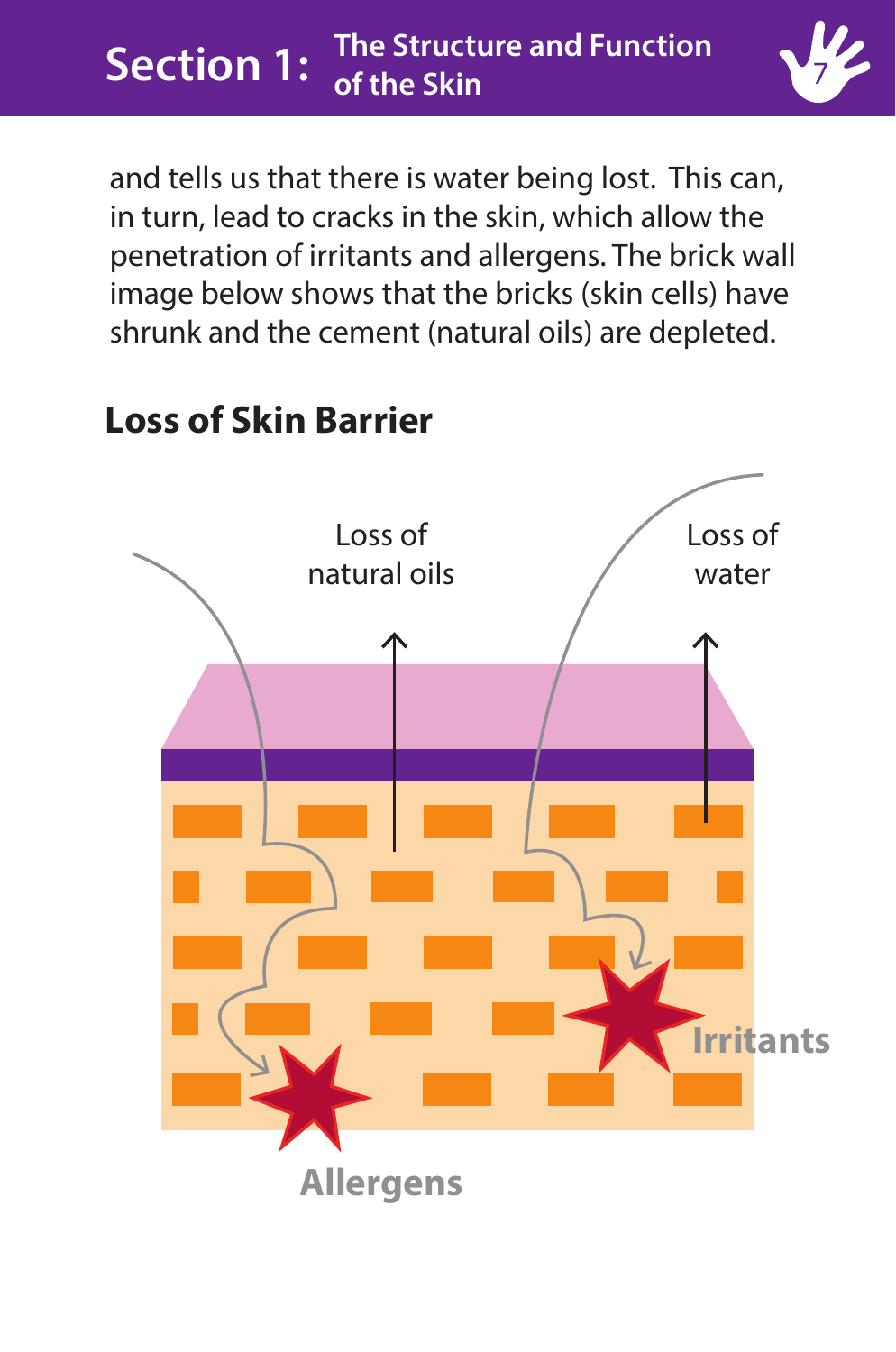**Section 1: Section 1:** The Structure and Function **Section of the Skin**



and tells us that there is water being lost. This can, in turn, lead to cracks in the skin, which allow the penetration of irritants and allergens. The brick wall image below shows that the bricks (skin cells) have shrunk and the cement (natural oils) are depleted.

# **Loss of Skin Barrier**

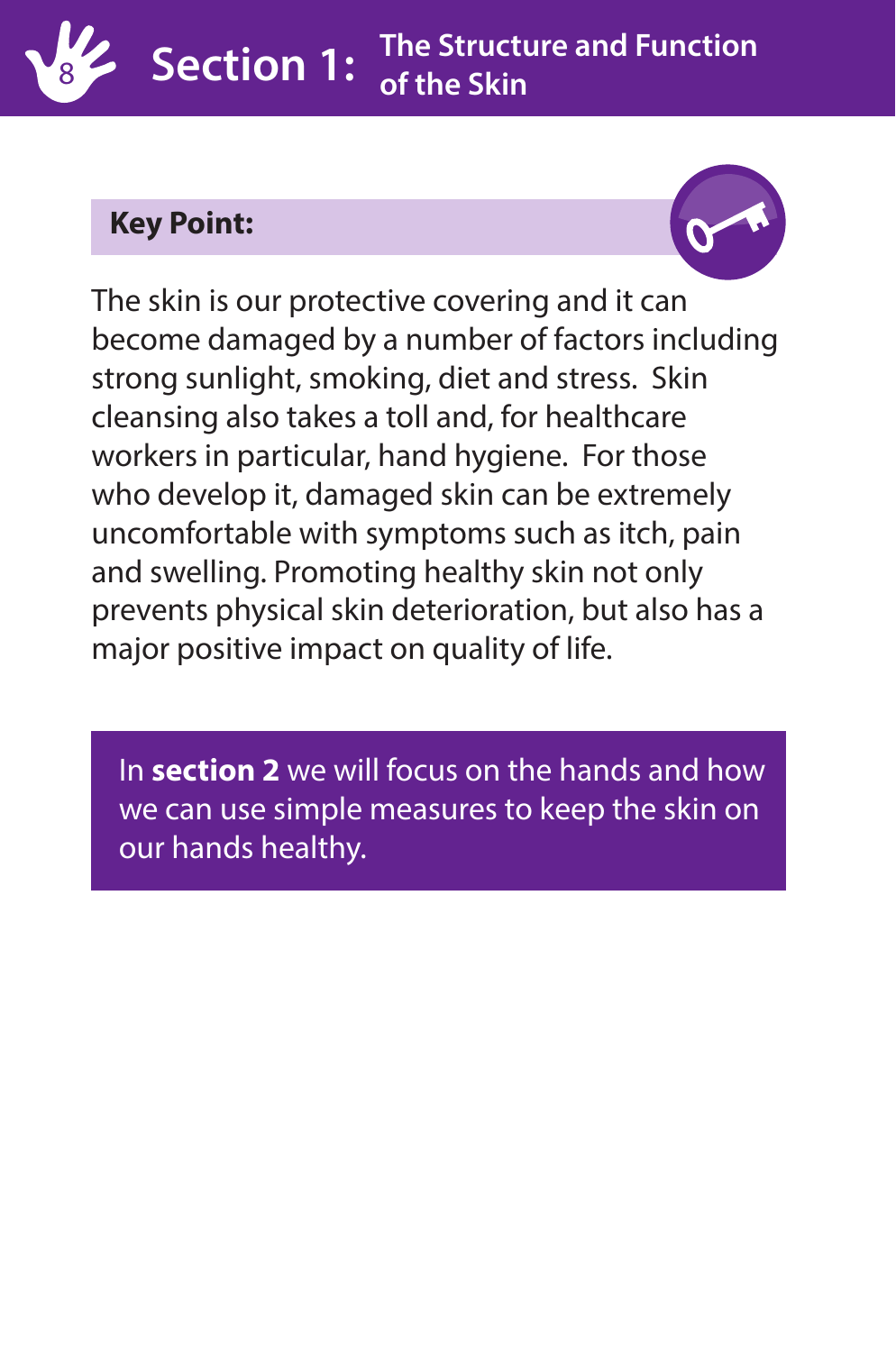# **Section 1:** The Structure and Function **Section**

#### **Key Point:**



The skin is our protective covering and it can become damaged by a number of factors including strong sunlight, smoking, diet and stress. Skin cleansing also takes a toll and, for healthcare workers in particular, hand hygiene. For those who develop it, damaged skin can be extremely uncomfortable with symptoms such as itch, pain and swelling. Promoting healthy skin not only prevents physical skin deterioration, but also has a major positive impact on quality of life.

In **section 2** we will focus on the hands and how we can use simple measures to keep the skin on our hands healthy.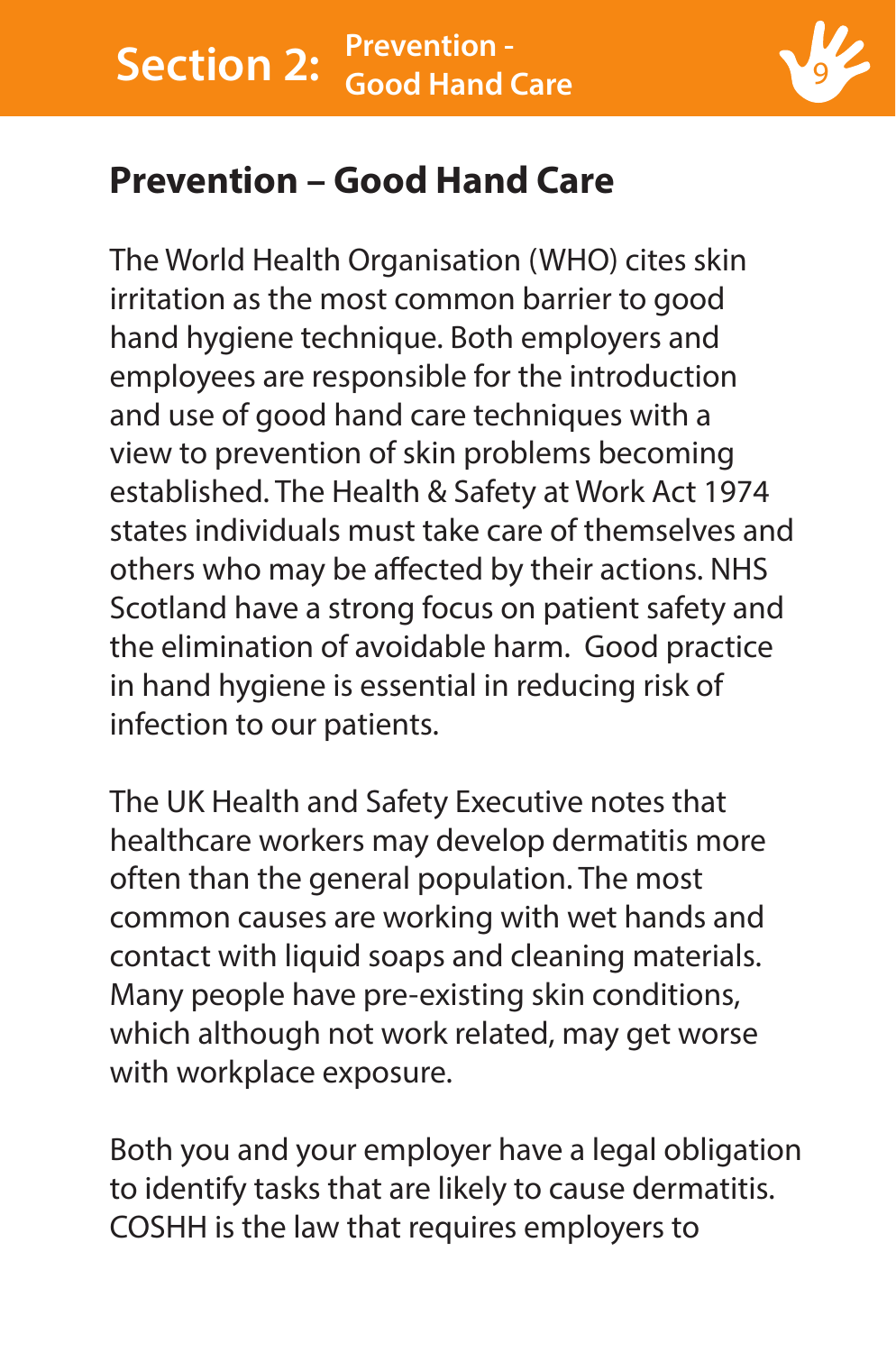

# **Prevention – Good Hand Care**

The World Health Organisation (WHO) cites skin irritation as the most common barrier to good hand hygiene technique. Both employers and employees are responsible for the introduction and use of good hand care techniques with a view to prevention of skin problems becoming established. The Health & Safety at Work Act 1974 states individuals must take care of themselves and others who may be affected by their actions. NHS Scotland have a strong focus on patient safety and the elimination of avoidable harm. Good practice in hand hygiene is essential in reducing risk of infection to our patients.

The UK Health and Safety Executive notes that healthcare workers may develop dermatitis more often than the general population. The most common causes are working with wet hands and contact with liquid soaps and cleaning materials. Many people have pre-existing skin conditions, which although not work related, may get worse with workplace exposure.

Both you and your employer have a legal obligation to identify tasks that are likely to cause dermatitis. COSHH is the law that requires employers to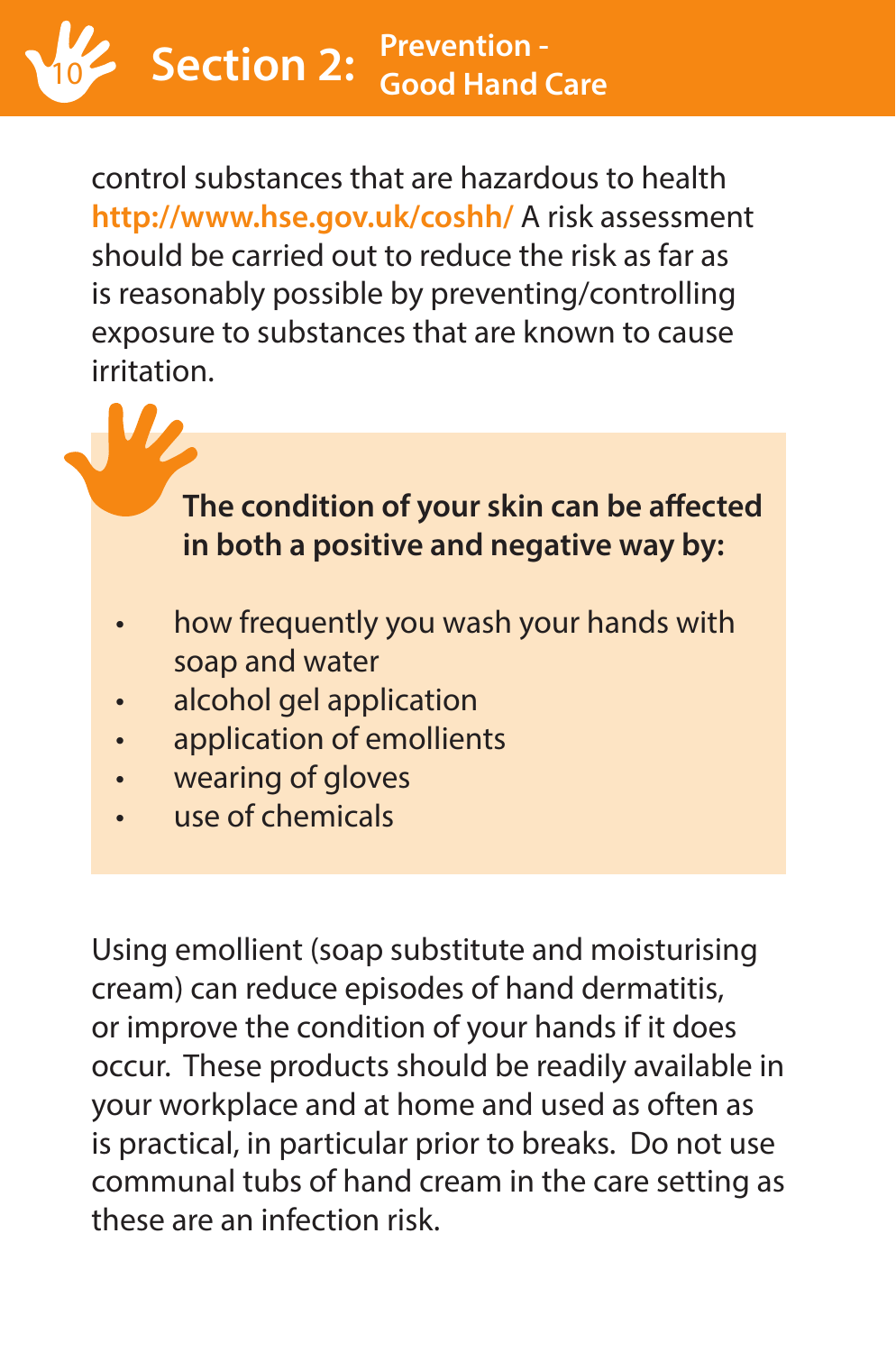control substances that are hazardous to health **http://www.hse.gov.uk/coshh/** A risk assessment should be carried out to reduce the risk as far as is reasonably possible by preventing/controlling exposure to substances that are known to cause irritation.

### **The condition of your skin can be affected in both a positive and negative way by:**

- how frequently you wash your hands with soap and water
- alcohol gel application
- application of emollients
- wearing of gloves
- use of chemicals

Using emollient (soap substitute and moisturising cream) can reduce episodes of hand dermatitis, or improve the condition of your hands if it does occur. These products should be readily available in your workplace and at home and used as often as is practical, in particular prior to breaks. Do not use communal tubs of hand cream in the care setting as these are an infection risk.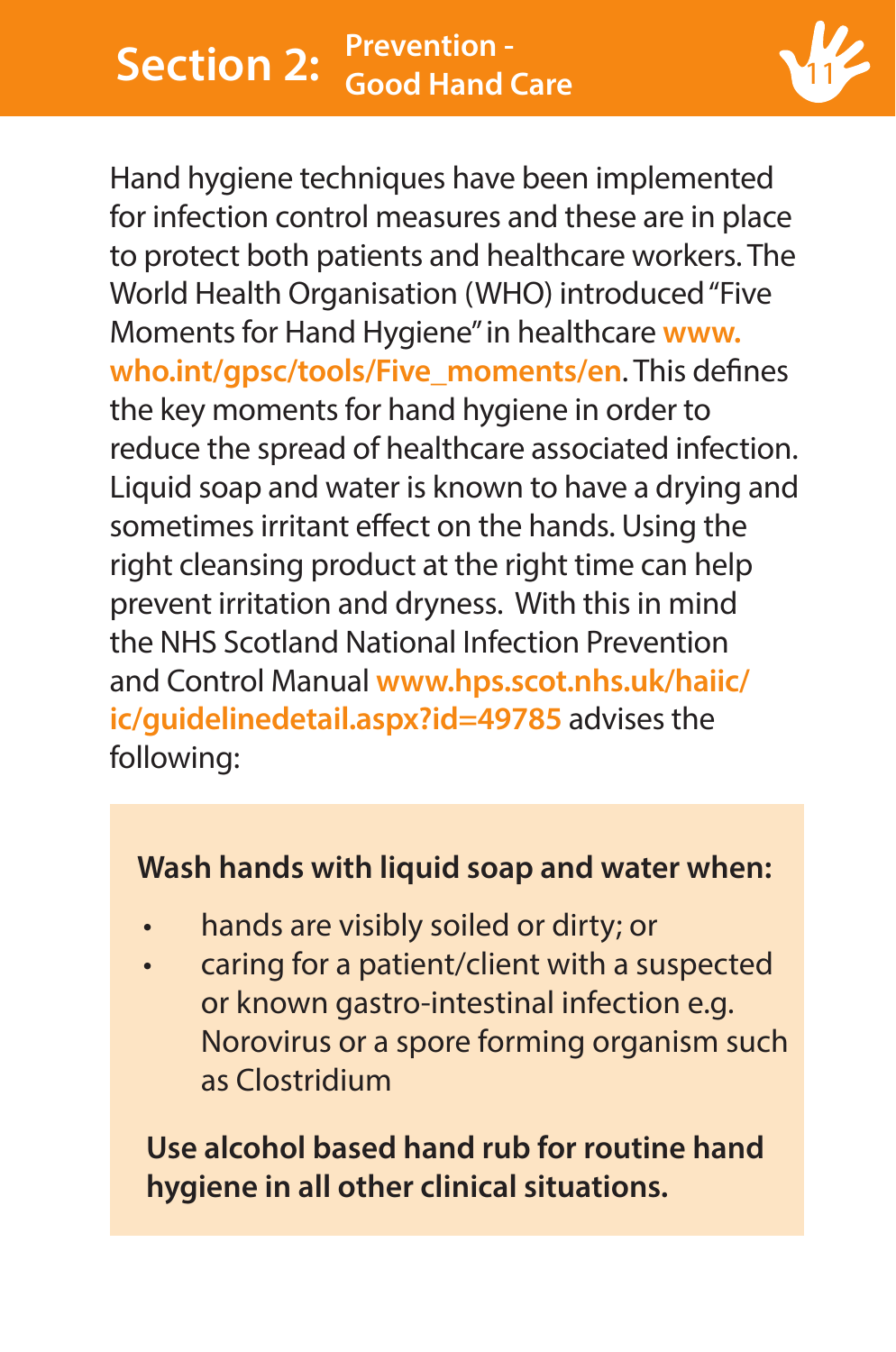

Hand hygiene techniques have been implemented for infection control measures and these are in place to protect both patients and healthcare workers. The World Health Organisation (WHO) introduced "Five Moments for Hand Hygiene" in healthcare **www. who.int/gpsc/tools/Five\_moments/en**. This defines the key moments for hand hygiene in order to reduce the spread of healthcare associated infection. Liquid soap and water is known to have a drying and sometimes irritant effect on the hands. Using the right cleansing product at the right time can help prevent irritation and dryness. With this in mind the NHS Scotland National Infection Prevention and Control Manual **www.hps.scot.nhs.uk/haiic/ ic/guidelinedetail.aspx?id=49785** advises the following:

#### **Wash hands with liquid soap and water when:**

- hands are visibly soiled or dirty; or
- caring for a patient/client with a suspected or known gastro-intestinal infection e.g. Norovirus or a spore forming organism such as Clostridium

**Use alcohol based hand rub for routine hand hygiene in all other clinical situations.**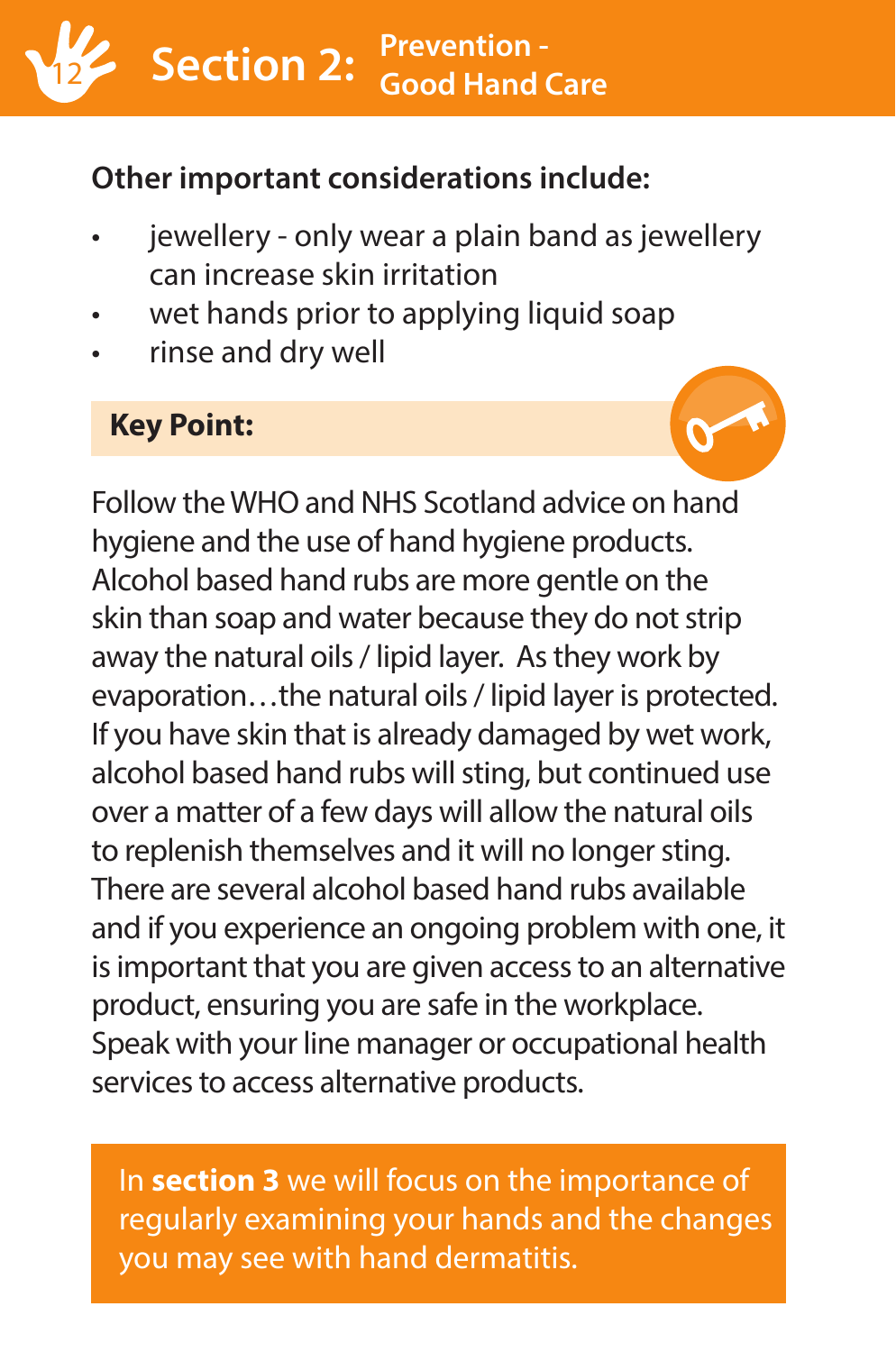#### **Other important considerations include:**

- jewellery only wear a plain band as jewellery can increase skin irritation
- wet hands prior to applying liquid soap
- rinse and dry well

#### **Key Point:**



Follow the WHO and NHS Scotland advice on hand hygiene and the use of hand hygiene products. Alcohol based hand rubs are more gentle on the skin than soap and water because they do not strip away the natural oils / lipid layer. As they work by evaporation…the natural oils / lipid layer is protected. If you have skin that is already damaged by wet work, alcohol based hand rubs will sting, but continued use over a matter of a few days will allow the natural oils to replenish themselves and it will no longer sting. There are several alcohol based hand rubs available and if you experience an ongoing problem with one, it is important that you are given access to an alternative product, ensuring you are safe in the workplace. Speak with your line manager or occupational health services to access alternative products.

In **section 3** we will focus on the importance of regularly examining your hands and the changes you may see with hand dermatitis.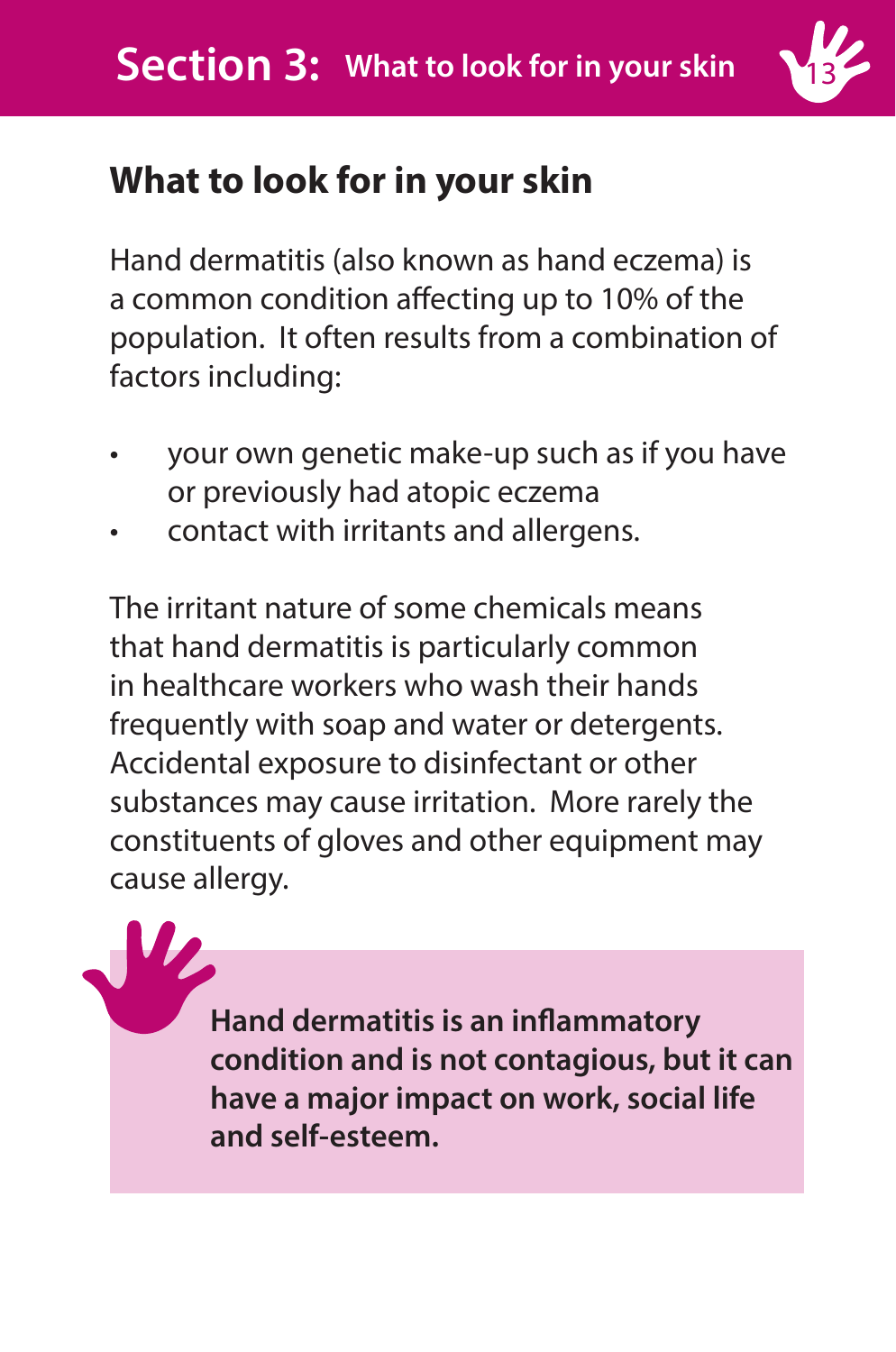

# **What to look for in your skin**

Hand dermatitis (also known as hand eczema) is a common condition affecting up to 10% of the population. It often results from a combination of factors including:

- your own genetic make-up such as if you have or previously had atopic eczema
- contact with irritants and allergens.

The irritant nature of some chemicals means that hand dermatitis is particularly common in healthcare workers who wash their hands frequently with soap and water or detergents. Accidental exposure to disinfectant or other substances may cause irritation. More rarely the constituents of gloves and other equipment may cause allergy.

> **Hand dermatitis is an inflammatory condition and is not contagious, but it can have a major impact on work, social life and self-esteem.**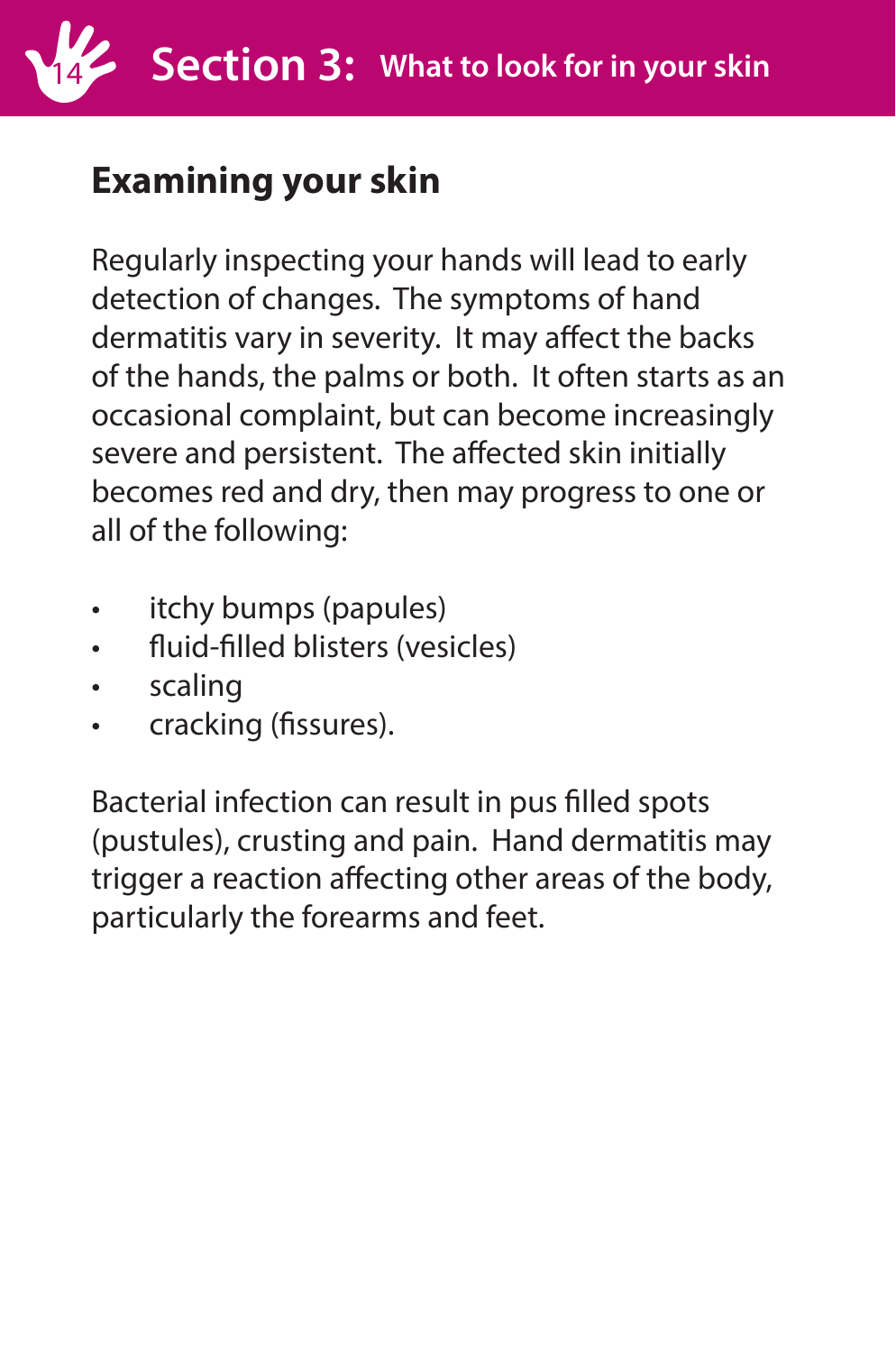# **Examining your skin**

Regularly inspecting your hands will lead to early detection of changes. The symptoms of hand dermatitis vary in severity. It may affect the backs of the hands, the palms or both. It often starts as an occasional complaint, but can become increasingly severe and persistent. The affected skin initially becomes red and dry, then may progress to one or all of the following:

- itchy bumps (papules)
- fluid-filled blisters (vesicles)
- scaling
- cracking (fissures).

Bacterial infection can result in pus filled spots (pustules), crusting and pain. Hand dermatitis may trigger a reaction affecting other areas of the body, particularly the forearms and feet.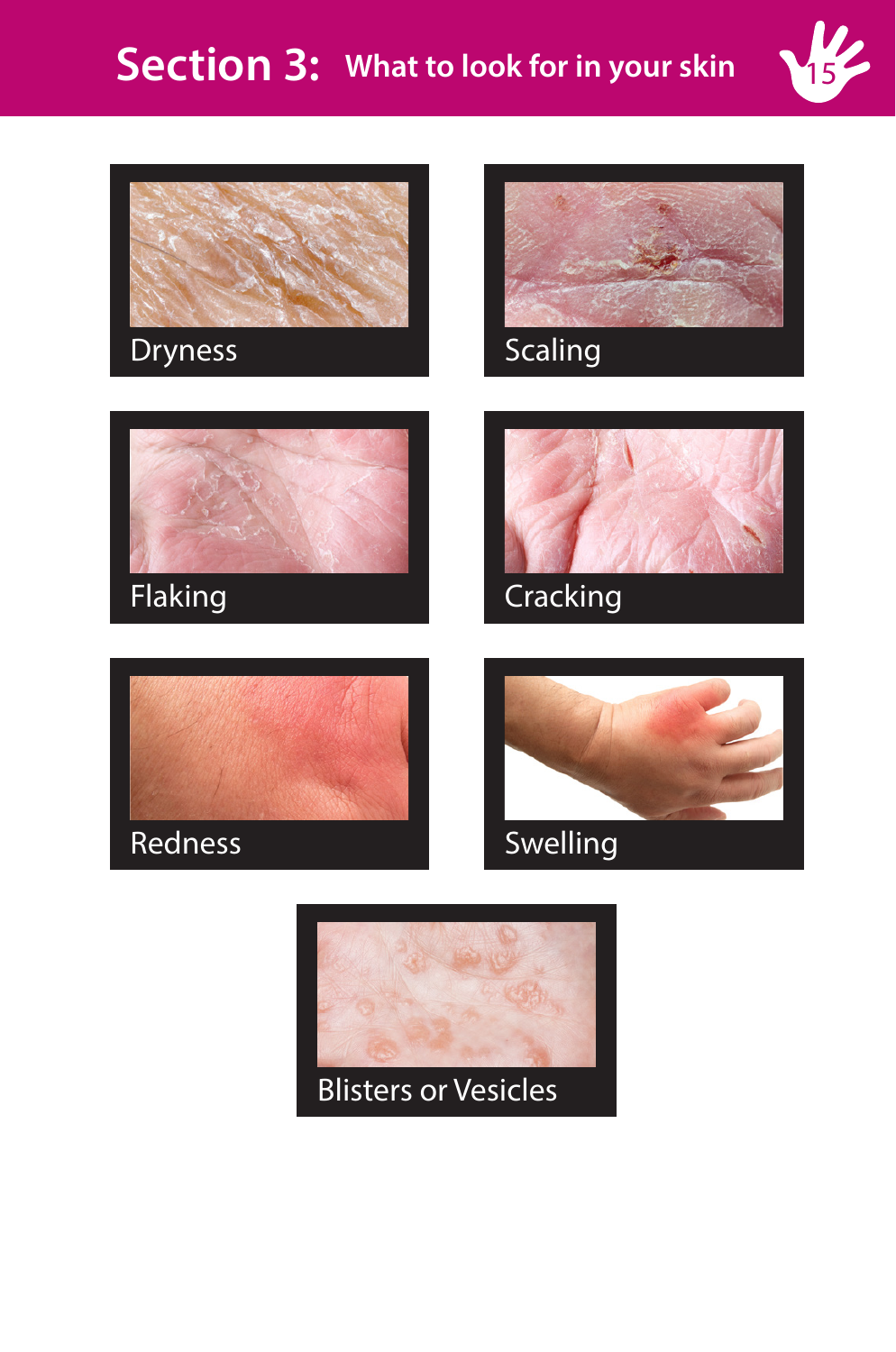# **Section 3: What to look for in your skin**















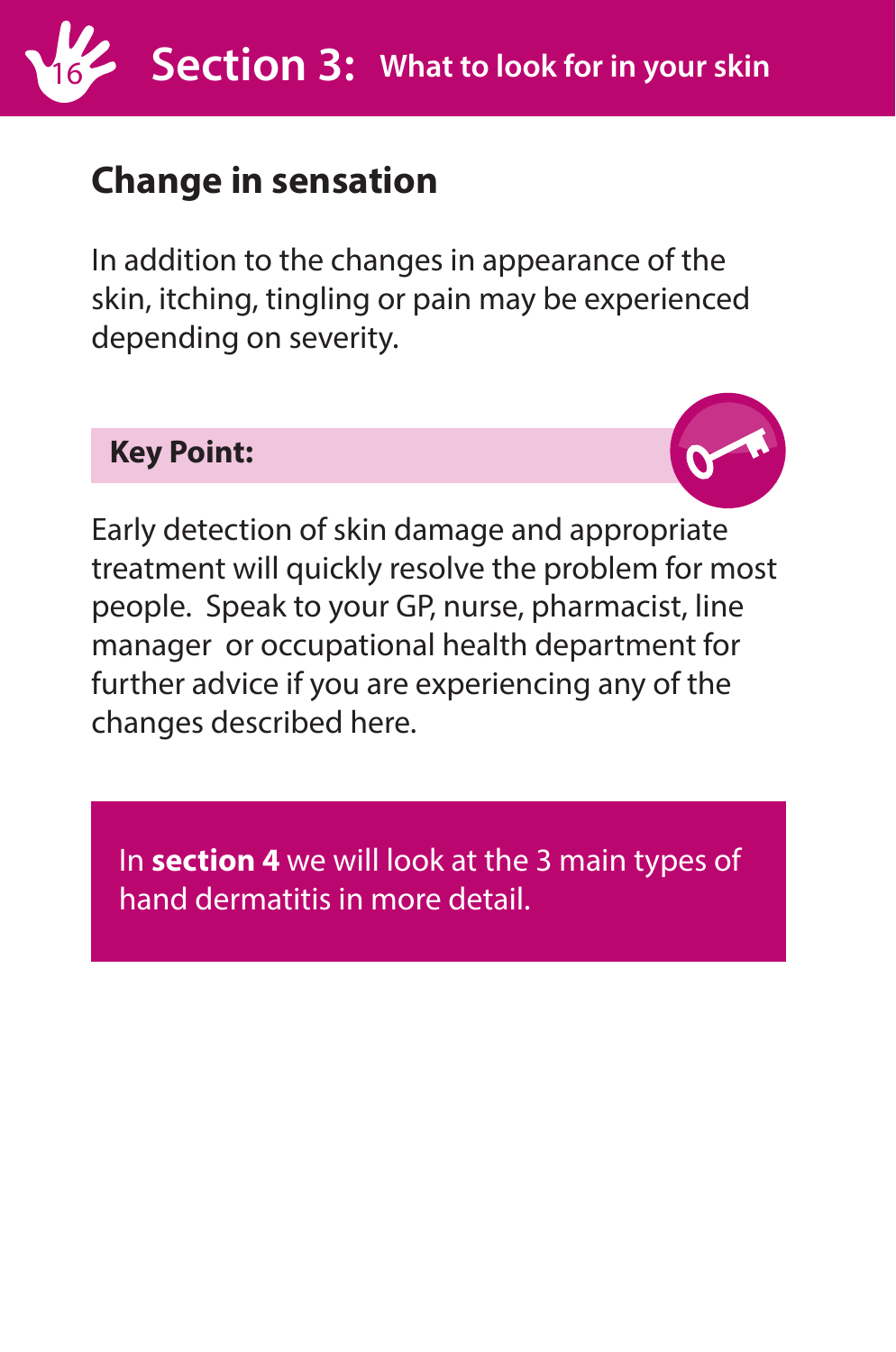

# **Change in sensation**

In addition to the changes in appearance of the skin, itching, tingling or pain may be experienced depending on severity.

#### **Key Point:**



Early detection of skin damage and appropriate treatment will quickly resolve the problem for most people. Speak to your GP, nurse, pharmacist, line manager or occupational health department for further advice if you are experiencing any of the changes described here.

In **section 4** we will look at the 3 main types of hand dermatitis in more detail.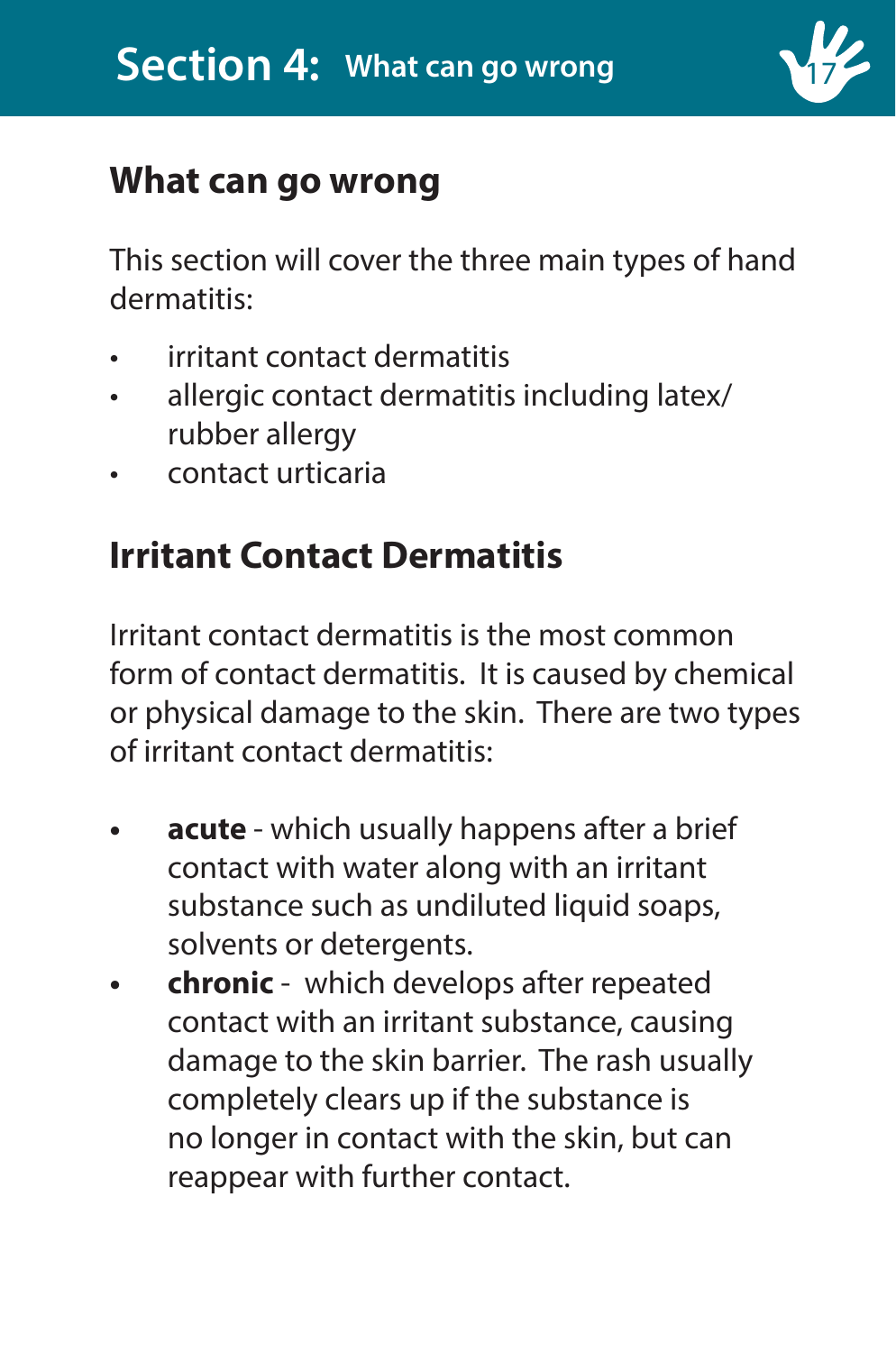

# **What can go wrong**

This section will cover the three main types of hand dermatitis:

- irritant contact dermatitis
- allergic contact dermatitis including latex/ rubber allergy
- contact urticaria

# **Irritant Contact Dermatitis**

Irritant contact dermatitis is the most common form of contact dermatitis. It is caused by chemical or physical damage to the skin. There are two types of irritant contact dermatitis:

- **• acute** which usually happens after a brief contact with water along with an irritant substance such as undiluted liquid soaps, solvents or detergents.
- **• chronic** which develops after repeated contact with an irritant substance, causing damage to the skin barrier. The rash usually completely clears up if the substance is no longer in contact with the skin, but can reappear with further contact.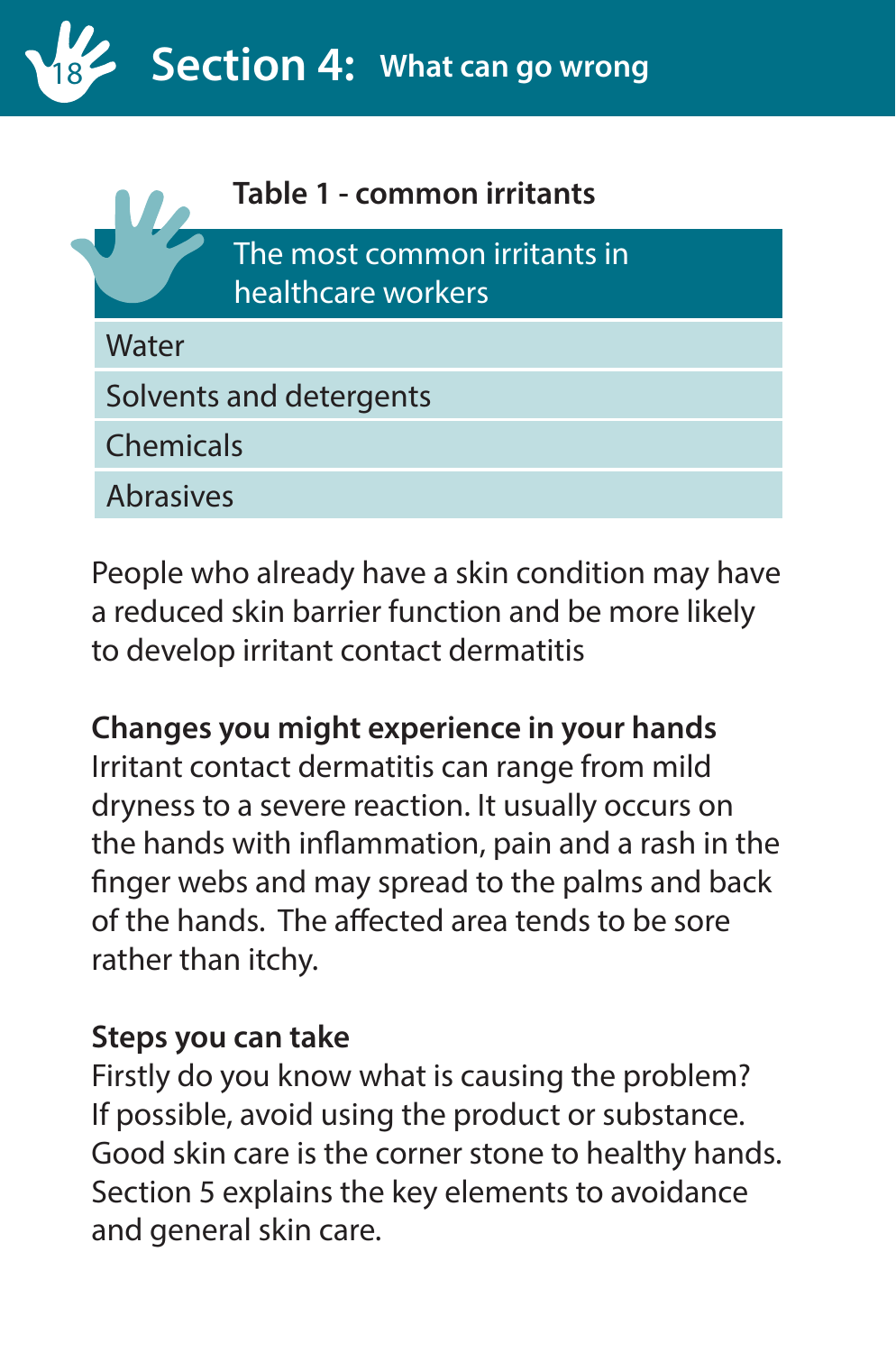# **Section 4: What can go wrong**

**Table 1 - common irritants**

The most common irritants in healthcare workers

|           | ------------            |
|-----------|-------------------------|
| Water     |                         |
|           | Solvents and detergents |
| Chemicals |                         |
| Abrasives |                         |

People who already have a skin condition may have a reduced skin barrier function and be more likely to develop irritant contact dermatitis

### **Changes you might experience in your hands**

Irritant contact dermatitis can range from mild dryness to a severe reaction. It usually occurs on the hands with inflammation, pain and a rash in the finger webs and may spread to the palms and back of the hands. The affected area tends to be sore rather than itchy.

#### **Steps you can take**

Firstly do you know what is causing the problem? If possible, avoid using the product or substance. Good skin care is the corner stone to healthy hands. Section 5 explains the key elements to avoidance and general skin care.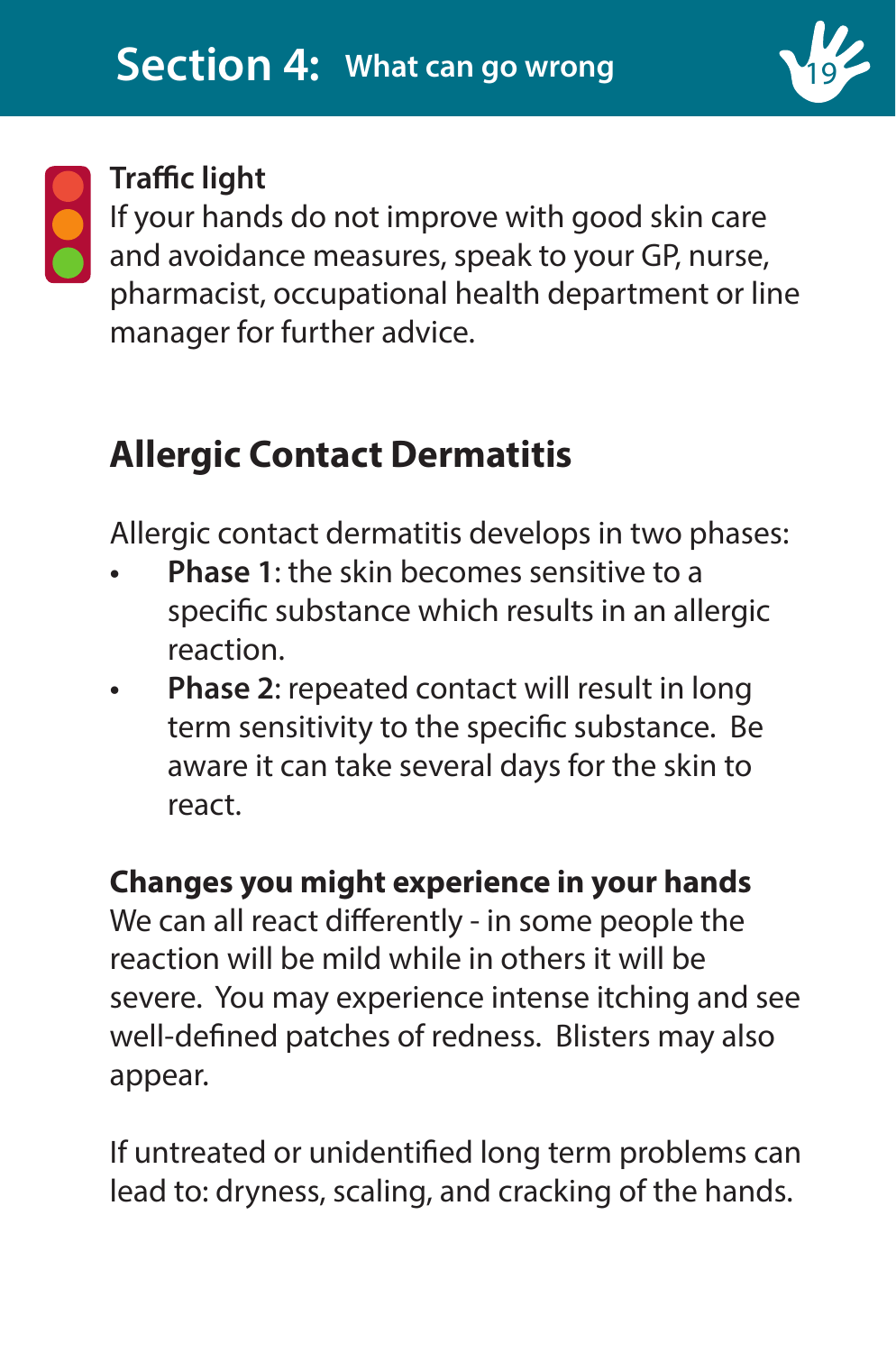

# **Traffic light**

If your hands do not improve with good skin care and avoidance measures, speak to your GP, nurse, pharmacist, occupational health department or line manager for further advice.

# **Allergic Contact Dermatitis**

Allergic contact dermatitis develops in two phases:

- **• Phase 1**: the skin becomes sensitive to a specific substance which results in an allergic reaction.
- **• Phase 2**: repeated contact will result in long term sensitivity to the specific substance. Be aware it can take several days for the skin to react.

#### **Changes you might experience in your hands**

We can all react differently - in some people the reaction will be mild while in others it will be severe. You may experience intense itching and see well-defined patches of redness. Blisters may also appear.

If untreated or unidentified long term problems can lead to: dryness, scaling, and cracking of the hands.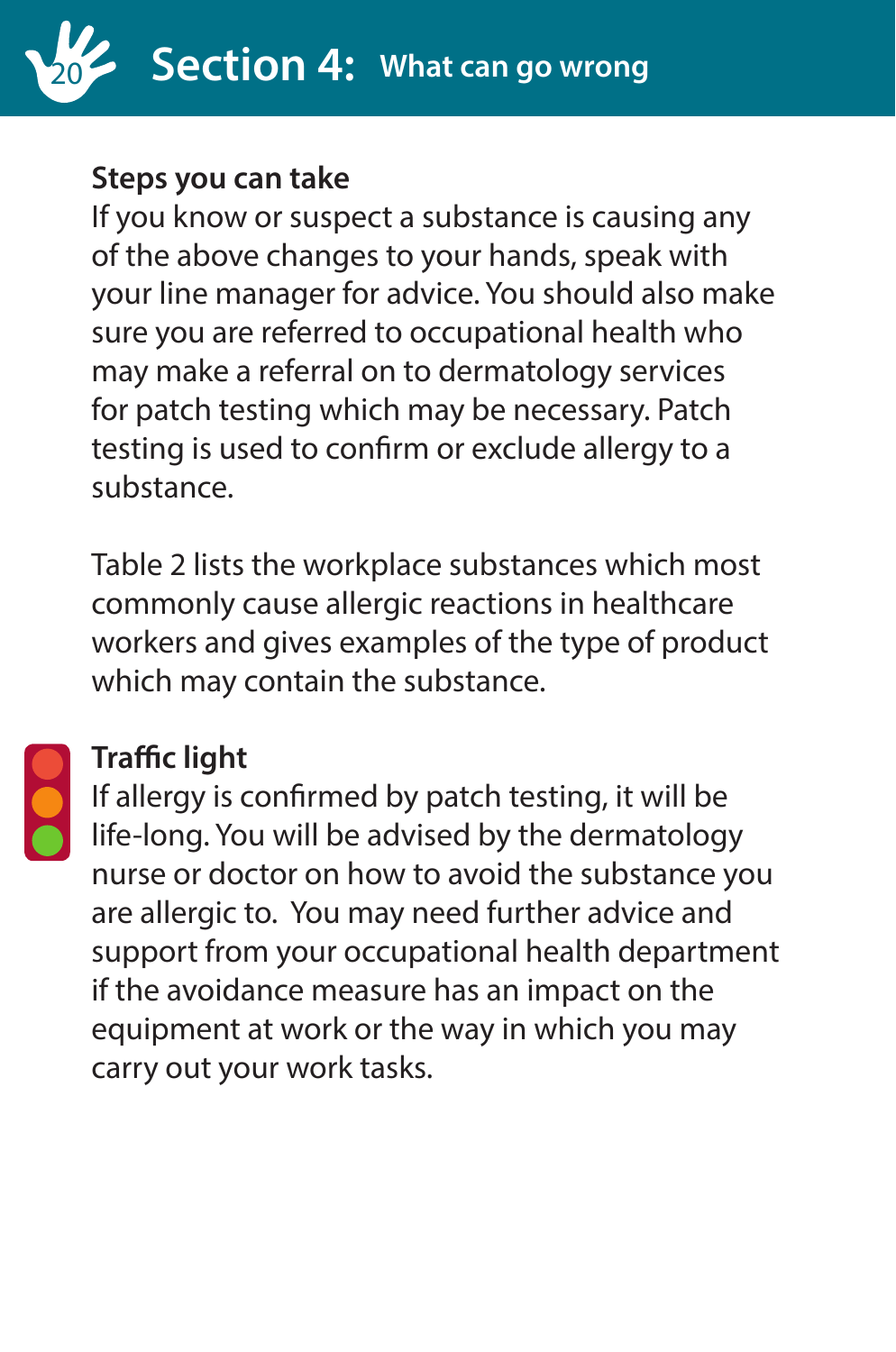#### **Steps you can take**

If you know or suspect a substance is causing any of the above changes to your hands, speak with your line manager for advice. You should also make sure you are referred to occupational health who may make a referral on to dermatology services for patch testing which may be necessary. Patch testing is used to confirm or exclude allergy to a substance.

Table 2 lists the workplace substances which most commonly cause allergic reactions in healthcare workers and gives examples of the type of product which may contain the substance.



### **Traffic light**

If allergy is confirmed by patch testing, it will be life-long. You will be advised by the dermatology nurse or doctor on how to avoid the substance you are allergic to. You may need further advice and support from your occupational health department if the avoidance measure has an impact on the equipment at work or the way in which you may carry out your work tasks.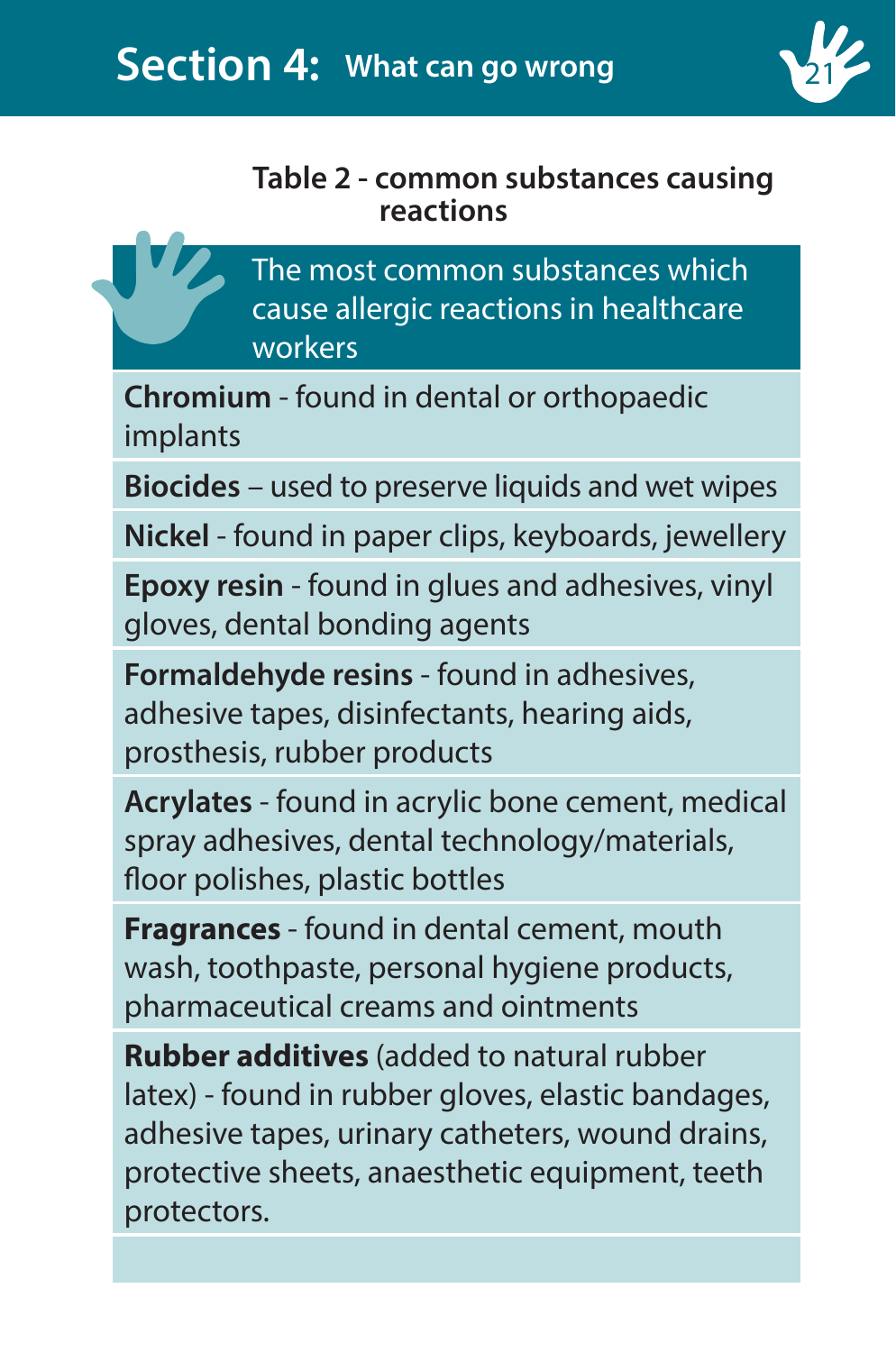

#### **Table 2 - common substances causing reactions**

The most common substances which cause allergic reactions in healthcare workers

**Chromium** - found in dental or orthopaedic implants

**Biocides** – used to preserve liquids and wet wipes

**Nickel** - found in paper clips, keyboards, jewellery

**Epoxy resin** - found in glues and adhesives, vinyl gloves, dental bonding agents

**Formaldehyde resins** - found in adhesives, adhesive tapes, disinfectants, hearing aids, prosthesis, rubber products

**Acrylates** - found in acrylic bone cement, medical spray adhesives, dental technology/materials, floor polishes, plastic bottles

**Fragrances** - found in dental cement, mouth wash, toothpaste, personal hygiene products, pharmaceutical creams and ointments

**Rubber additives** (added to natural rubber latex) - found in rubber gloves, elastic bandages, adhesive tapes, urinary catheters, wound drains, protective sheets, anaesthetic equipment, teeth protectors.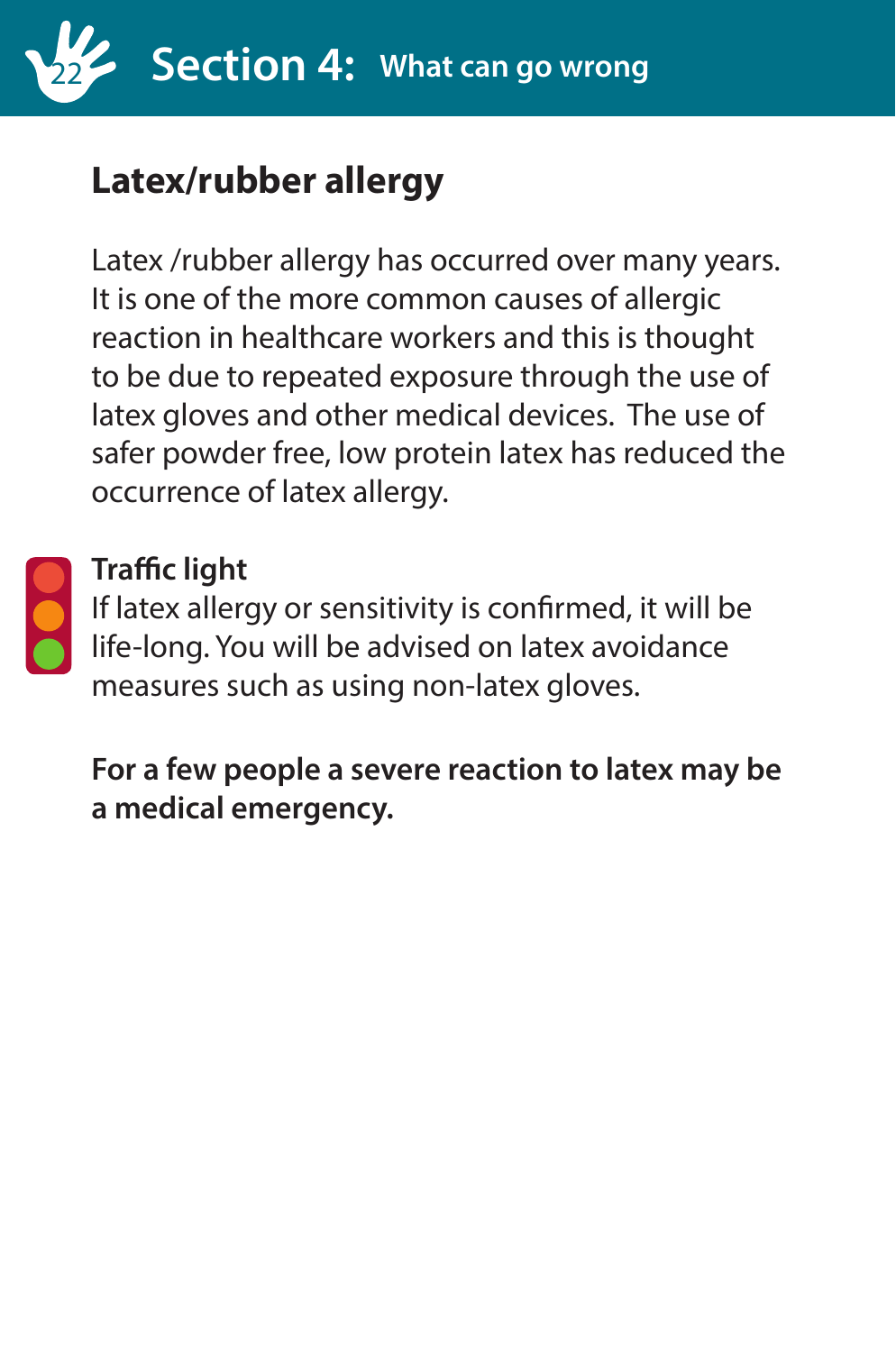# **Section 4: What can go wrong**

# **Latex/rubber allergy**

Latex /rubber allergy has occurred over many years. It is one of the more common causes of allergic reaction in healthcare workers and this is thought to be due to repeated exposure through the use of latex gloves and other medical devices. The use of safer powder free, low protein latex has reduced the occurrence of latex allergy.



### **Traffic light**

If latex allergy or sensitivity is confirmed, it will be life-long. You will be advised on latex avoidance measures such as using non-latex gloves.

**For a few people a severe reaction to latex may be a medical emergency.**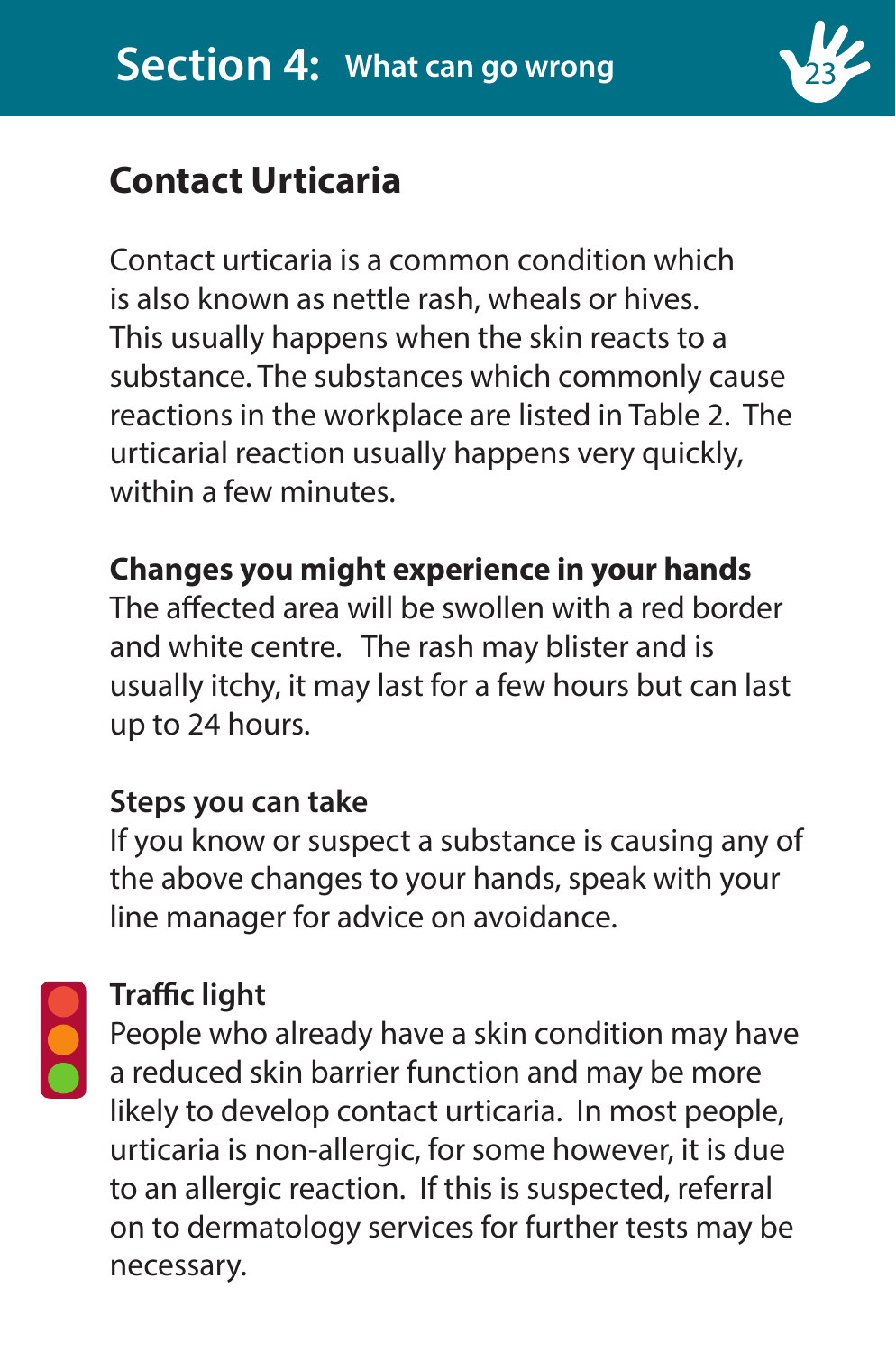

# **Contact Urticaria**

Contact urticaria is a common condition which is also known as nettle rash, wheals or hives. This usually happens when the skin reacts to a substance. The substances which commonly cause reactions in the workplace are listed in Table 2. The urticarial reaction usually happens very quickly, within a few minutes.

**Changes you might experience in your hands** The affected area will be swollen with a red border and white centre. The rash may blister and is usually itchy, it may last for a few hours but can last up to 24 hours.

#### **Steps you can take**

If you know or suspect a substance is causing any of the above changes to your hands, speak with your line manager for advice on avoidance.



### **Traffic light**

People who already have a skin condition may have a reduced skin barrier function and may be more likely to develop contact urticaria. In most people, urticaria is non-allergic, for some however, it is due to an allergic reaction. If this is suspected, referral on to dermatology services for further tests may be necessary.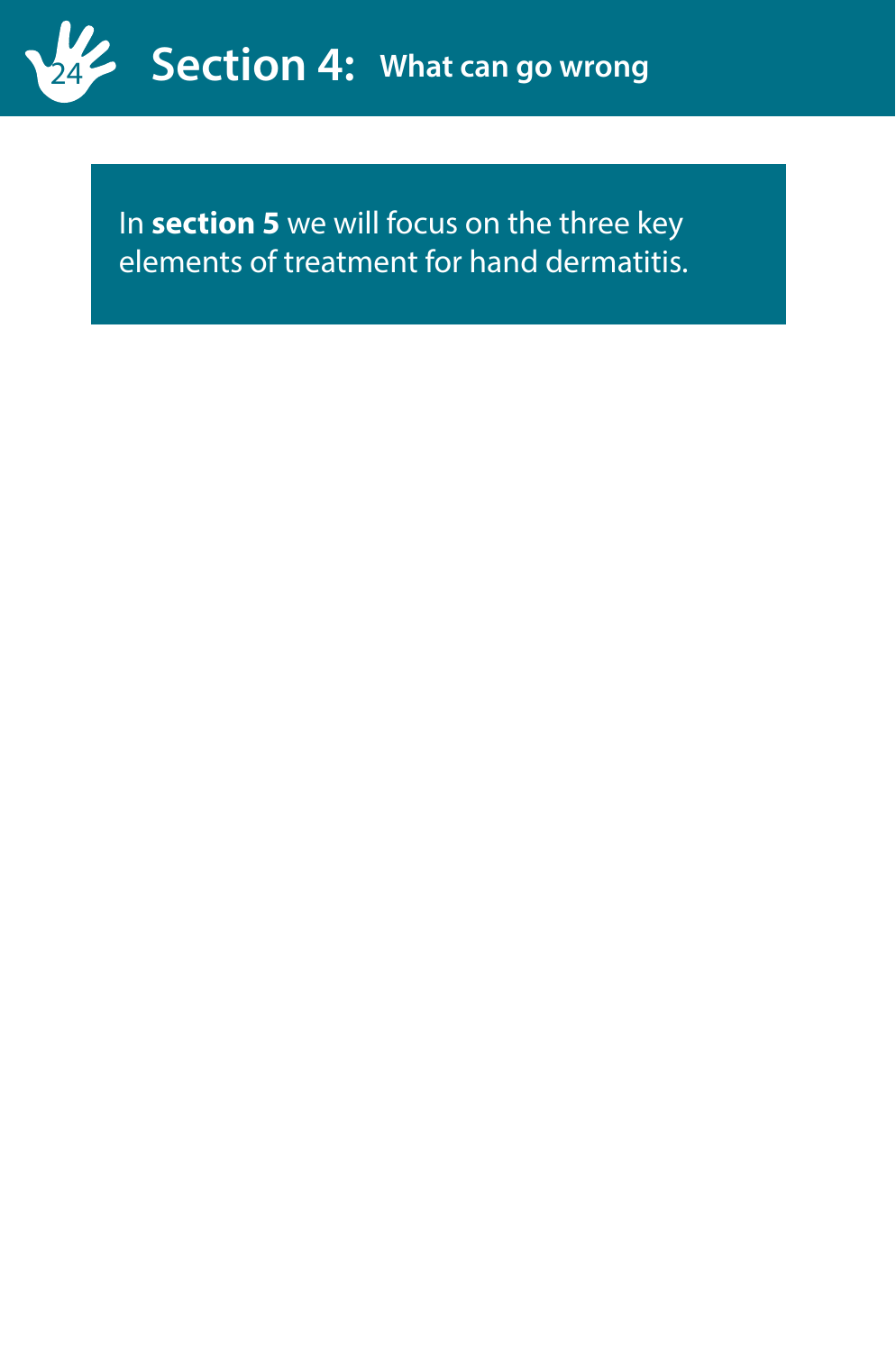

In **section 5** we will focus on the three key elements of treatment for hand dermatitis.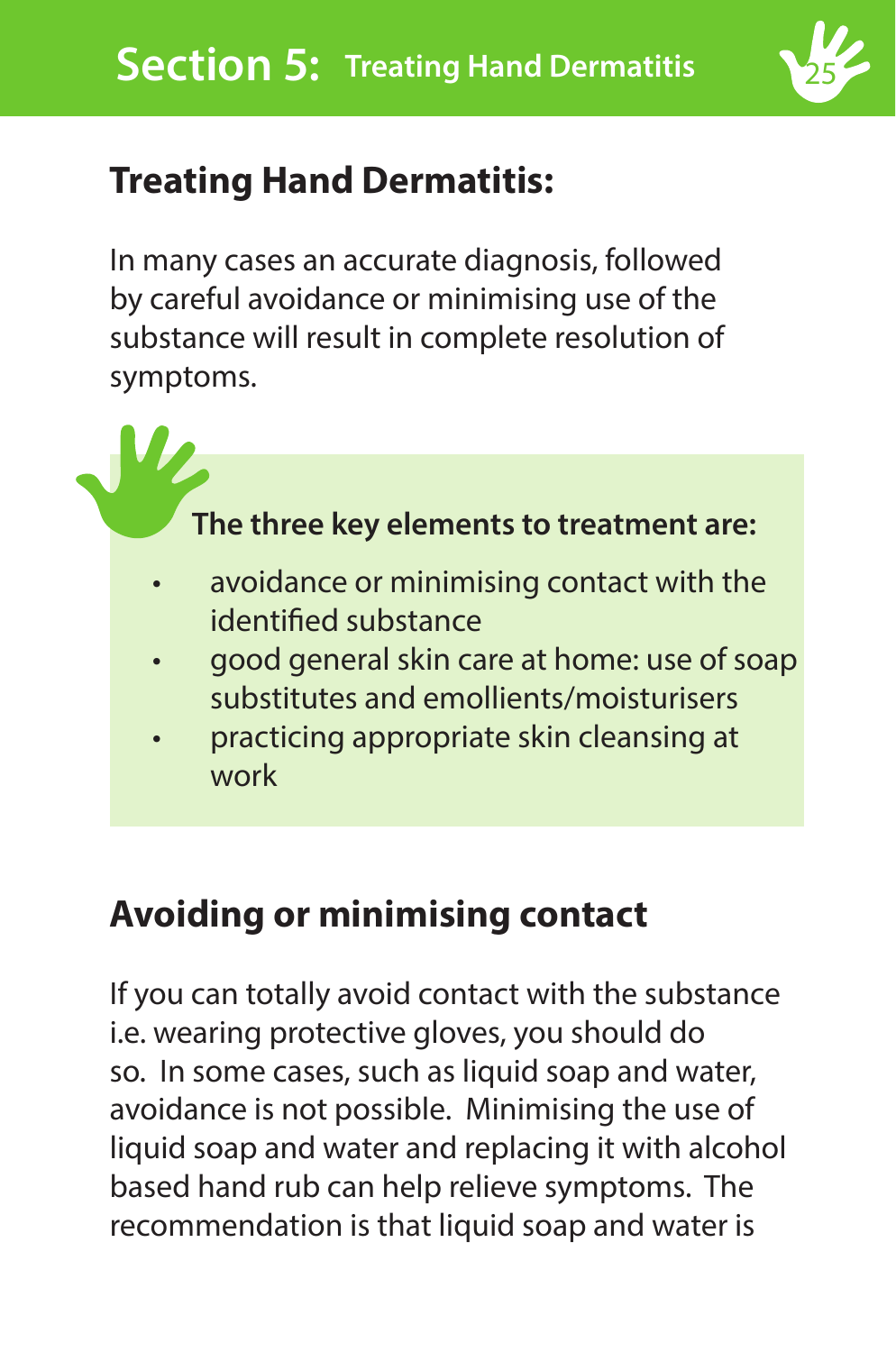

# **Treating Hand Dermatitis:**

In many cases an accurate diagnosis, followed by careful avoidance or minimising use of the substance will result in complete resolution of symptoms.

#### **The three key elements to treatment are:**

- avoidance or minimising contact with the identified substance
- good general skin care at home: use of soap substitutes and emollients/moisturisers
- practicing appropriate skin cleansing at work

# **Avoiding or minimising contact**

If you can totally avoid contact with the substance i.e. wearing protective gloves, you should do so. In some cases, such as liquid soap and water, avoidance is not possible. Minimising the use of liquid soap and water and replacing it with alcohol based hand rub can help relieve symptoms. The recommendation is that liquid soap and water is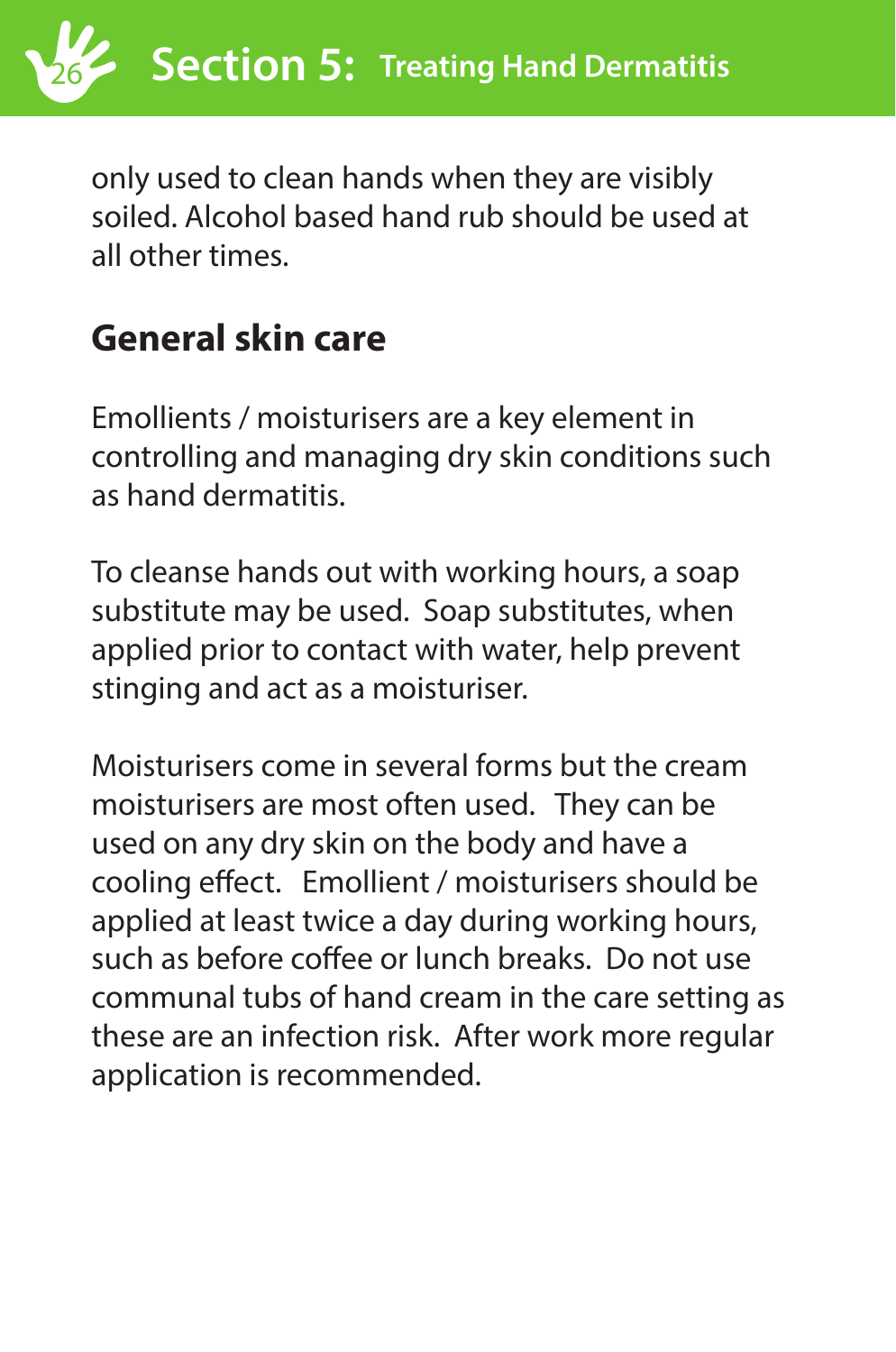only used to clean hands when they are visibly soiled. Alcohol based hand rub should be used at all other times.

# **General skin care**

Emollients / moisturisers are a key element in controlling and managing dry skin conditions such as hand dermatitis.

To cleanse hands out with working hours, a soap substitute may be used. Soap substitutes, when applied prior to contact with water, help prevent stinging and act as a moisturiser.

Moisturisers come in several forms but the cream moisturisers are most often used. They can be used on any dry skin on the body and have a cooling effect. Emollient / moisturisers should be applied at least twice a day during working hours, such as before coffee or lunch breaks. Do not use communal tubs of hand cream in the care setting as these are an infection risk. After work more regular application is recommended.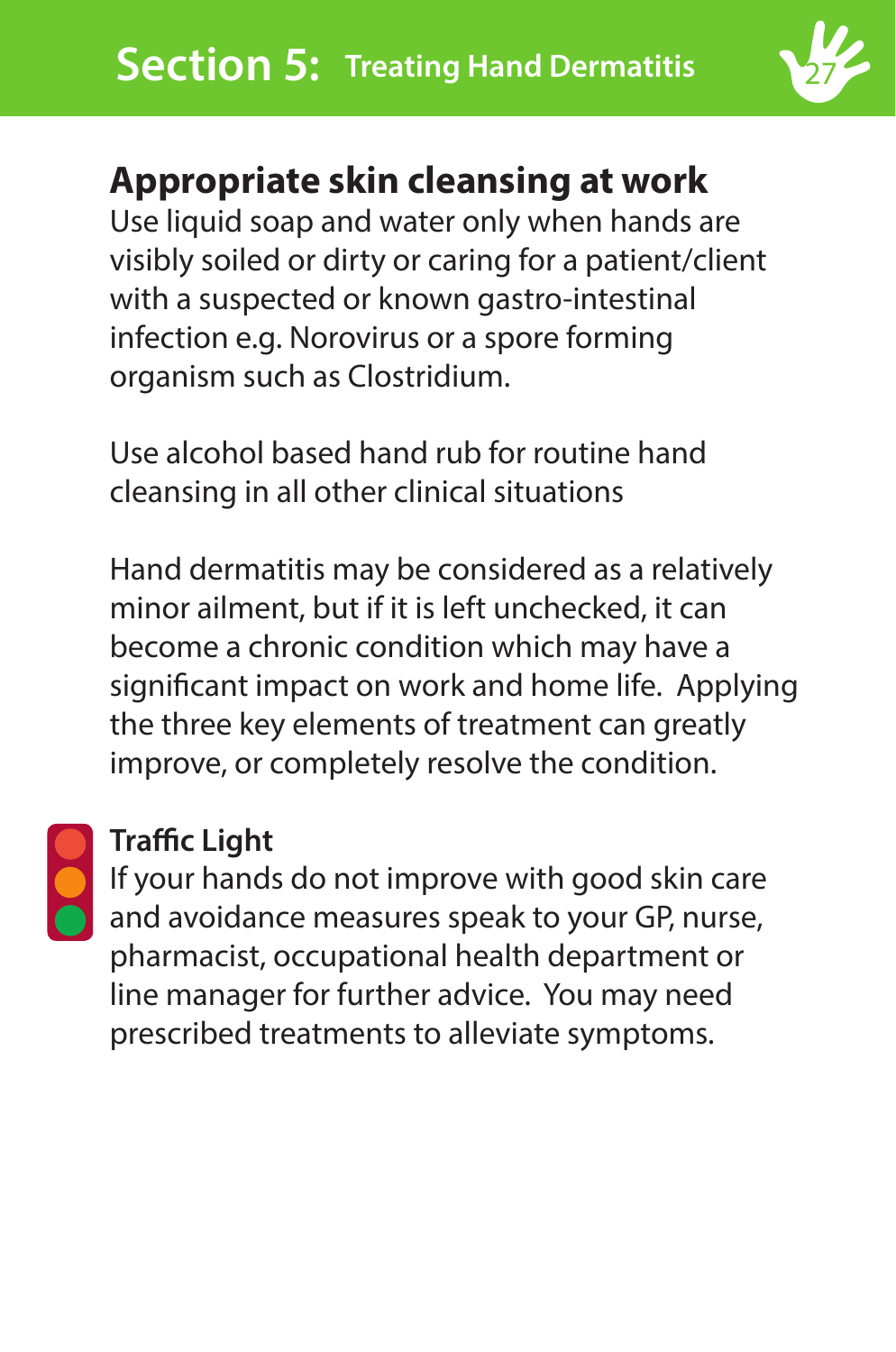

# **Appropriate skin cleansing at work**

Use liquid soap and water only when hands are visibly soiled or dirty or caring for a patient/client with a suspected or known gastro-intestinal infection e.g. Norovirus or a spore forming organism such as Clostridium.

Use alcohol based hand rub for routine hand cleansing in all other clinical situations

Hand dermatitis may be considered as a relatively minor ailment, but if it is left unchecked, it can become a chronic condition which may have a significant impact on work and home life. Applying the three key elements of treatment can greatly improve, or completely resolve the condition.



#### **Traffic Light**

If your hands do not improve with good skin care and avoidance measures speak to your GP, nurse, pharmacist, occupational health department or line manager for further advice. You may need prescribed treatments to alleviate symptoms.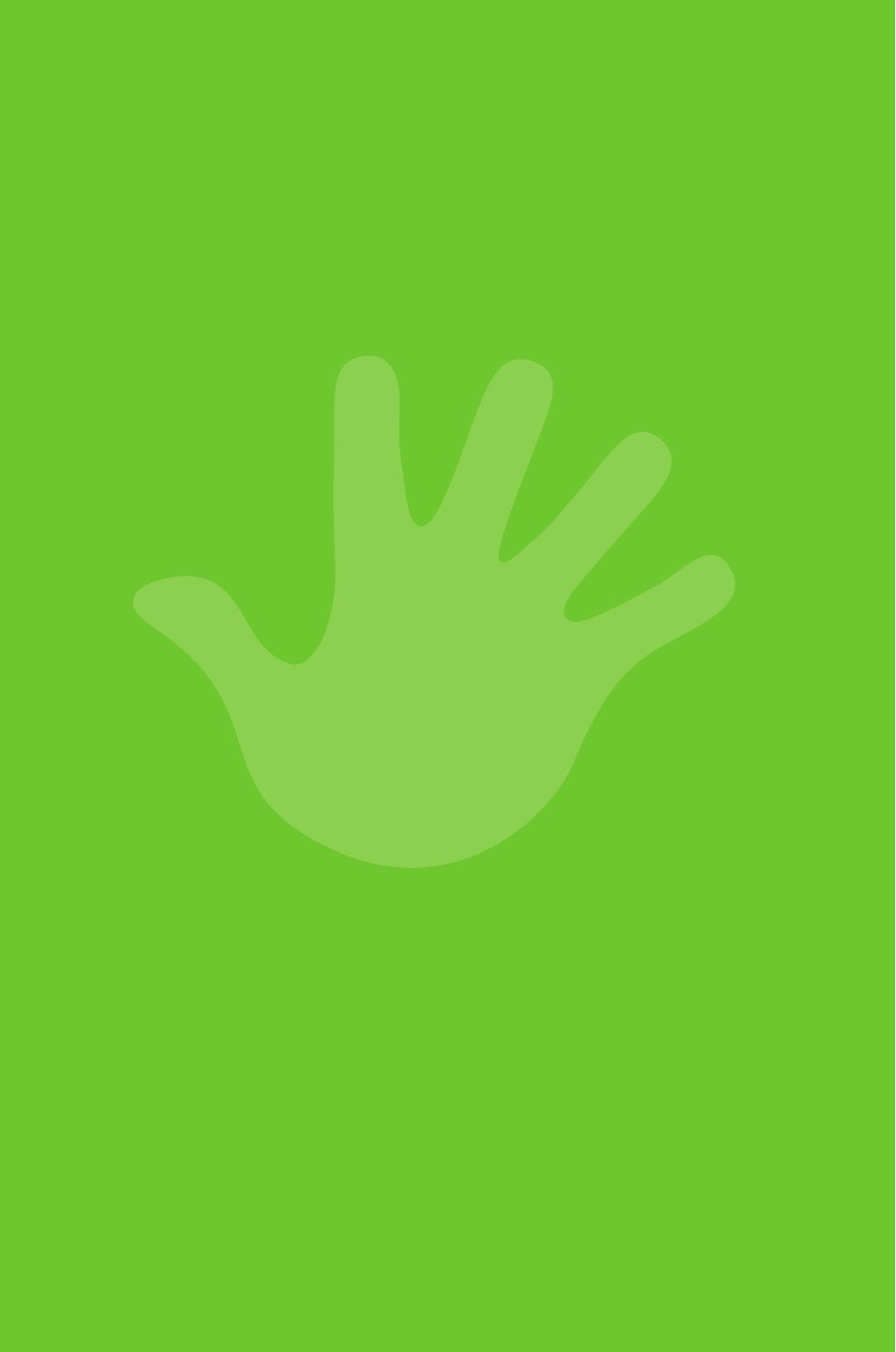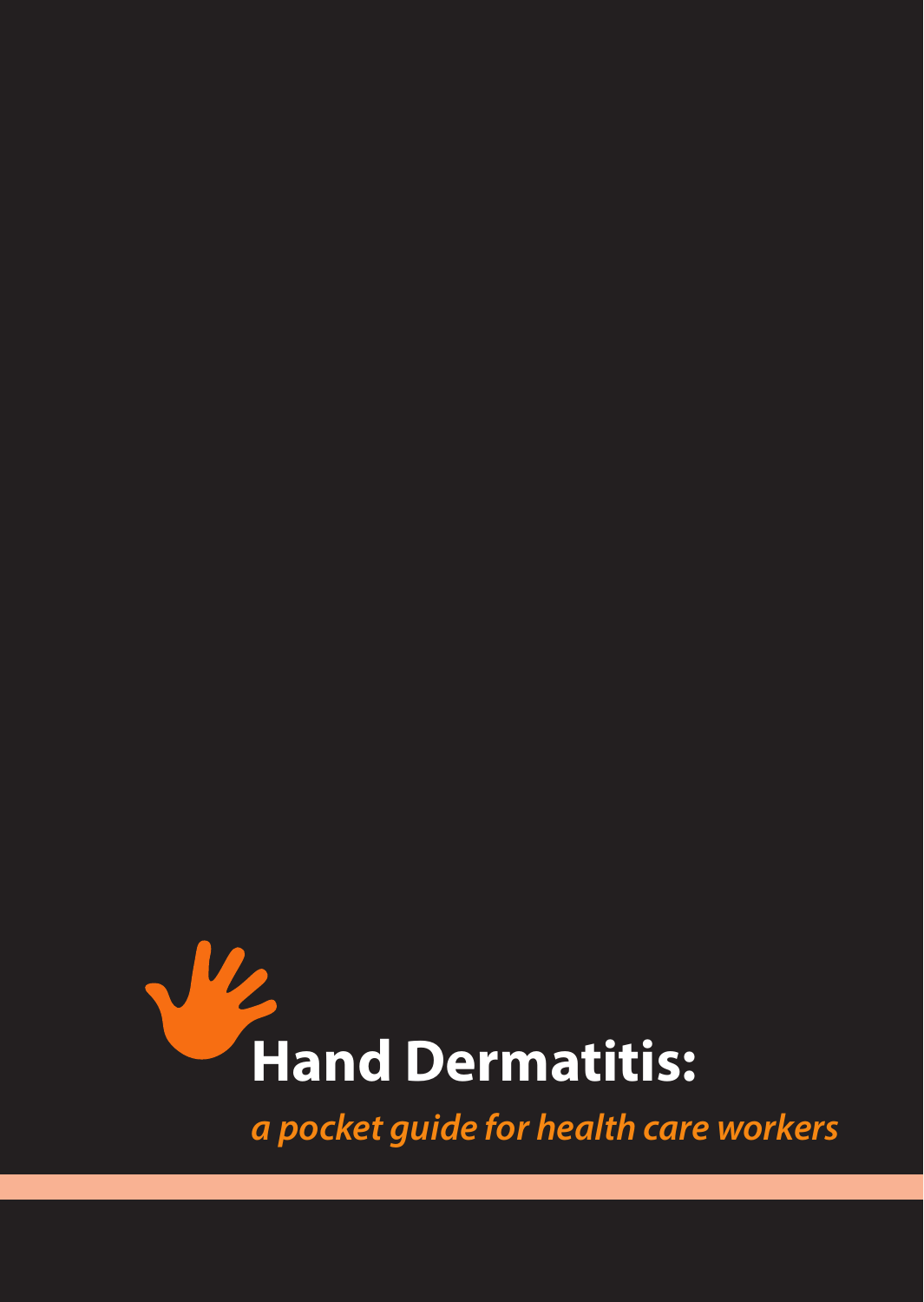

*a pocket guide for health care workers*